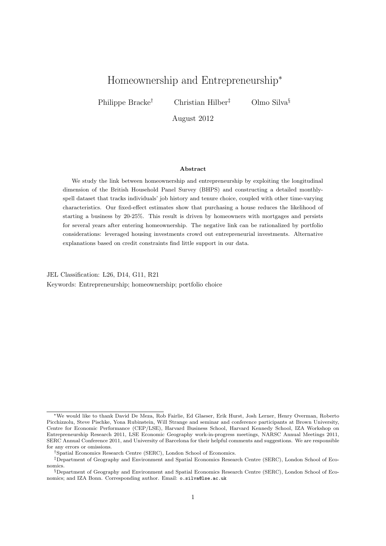# Homeownership and Entrepreneurship<sup>∗</sup>

Philippe Bracke<sup>†</sup> Christian Hilber<sup>‡</sup> Olmo Silva<sup>§</sup>

August 2012

#### Abstract

We study the link between homeownership and entrepreneurship by exploiting the longitudinal dimension of the British Household Panel Survey (BHPS) and constructing a detailed monthlyspell dataset that tracks individuals' job history and tenure choice, coupled with other time-varying characteristics. Our fixed-effect estimates show that purchasing a house reduces the likelihood of starting a business by 20-25%. This result is driven by homeowners with mortgages and persists for several years after entering homeownership. The negative link can be rationalized by portfolio considerations: leveraged housing investments crowd out entrepreneurial investments. Alternative explanations based on credit constraints find little support in our data.

JEL Classification: L26, D14, G11, R21 Keywords: Entrepreneurship; homeownership; portfolio choice

<sup>∗</sup>We would like to thank David De Meza, Rob Fairlie, Ed Glaeser, Erik Hurst, Josh Lerner, Henry Overman, Roberto Picchizzolu, Steve Pischke, Yona Rubinstein, Will Strange and seminar and conference participants at Brown University, Centre for Economic Performance (CEP/LSE), Harvard Business School, Harvard Kennedy School, IZA Workshop on Entrepreneurship Research 2011, LSE Economic Geography work-in-progress meetings, NARSC Annual Meetings 2011, SERC Annual Conference 2011, and University of Barcelona for their helpful comments and suggestions. We are responsible for any errors or omissions.

<sup>†</sup>Spatial Economics Research Centre (SERC), London School of Economics.

<sup>‡</sup>Department of Geography and Environment and Spatial Economics Research Centre (SERC), London School of Economics.

<sup>§</sup>Department of Geography and Environment and Spatial Economics Research Centre (SERC), London School of Economics; and IZA Bonn. Corresponding author. Email: <o.silva@lse.ac.uk>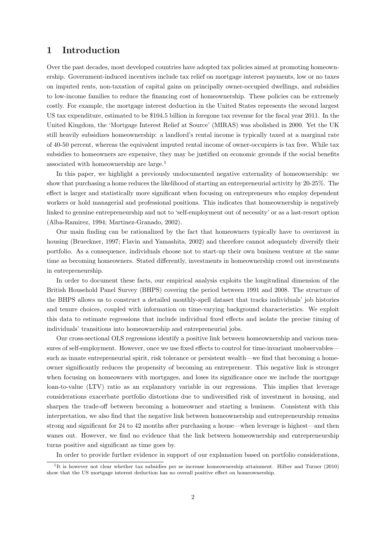# 1 Introduction

Over the past decades, most developed countries have adopted tax policies aimed at promoting homeownership. Government-induced incentives include tax relief on mortgage interest payments, low or no taxes on imputed rents, non-taxation of capital gains on principally owner-occupied dwellings, and subsidies to low-income families to reduce the financing cost of homeownership. These policies can be extremely costly. For example, the mortgage interest deduction in the United States represents the second largest US tax expenditure, estimated to be \$104.5 billion in foregone tax revenue for the fiscal year 2011. In the United Kingdom, the 'Mortgage Interest Relief at Source' (MIRAS) was abolished in 2000. Yet the UK still heavily subsidizes homeownership: a landlord's rental income is typically taxed at a marginal rate of 40-50 percent, whereas the equivalent imputed rental income of owner-occupiers is tax free. While tax subsidies to homeowners are expensive, they may be justified on economic grounds if the social benefits associated with homeownership are large.[1](#page-1-0)

In this paper, we highlight a previously undocumented negative externality of homeownership: we show that purchasing a home reduces the likelihood of starting an entrepreneurial activity by 20-25%. The effect is larger and statistically more significant when focusing on entrepreneurs who employ dependent workers or hold managerial and professional positions. This indicates that homeownership is negatively linked to genuine entrepreneurship and not to 'self-employment out of necessity' or as a last-resort option [\(Alba-Ramirez, 1994;](#page-22-0) [Martinez-Granado, 2002\)](#page-24-0).

Our main finding can be rationalized by the fact that homeowners typically have to overinvest in housing [\(Brueckner, 1997;](#page-22-1) [Flavin and Yamashita, 2002\)](#page-23-0) and therefore cannot adequately diversify their portfolio. As a consequence, individuals choose not to start-up their own business venture at the same time as becoming homeowners. Stated differently, investments in homeownership crowd out investments in entrepreneurship.

In order to document these facts, our empirical analysis exploits the longitudinal dimension of the British Household Panel Survey (BHPS) covering the period between 1991 and 2008. The structure of the BHPS allows us to construct a detailed monthly-spell dataset that tracks individuals' job histories and tenure choices, coupled with information on time-varying background characteristics. We exploit this data to estimate regressions that include individual fixed effects and isolate the precise timing of individuals' transitions into homeownership and entrepreneurial jobs.

Our cross-sectional OLS regressions identify a positive link between homeownership and various measures of self-employment. However, once we use fixed effects to control for time-invariant unobservables such as innate entrepreneurial spirit, risk tolerance or persistent wealth—we find that becoming a homeowner significantly reduces the propensity of becoming an entrepreneur. This negative link is stronger when focusing on homeowners with mortgages, and loses its significance once we include the mortgage loan-to-value (LTV) ratio as an explanatory variable in our regressions. This implies that leverage considerations exacerbate portfolio distortions due to undiversified risk of investment in housing, and sharpen the trade-off between becoming a homeowner and starting a business. Consistent with this interpretation, we also find that the negative link between homeownership and entrepreneurship remains strong and significant for 24 to 42 months after purchasing a house—when leverage is highest—and then wanes out. However, we find no evidence that the link between homeownership and entrepreneurship turns positive and significant as time goes by.

In order to provide further evidence in support of our explanation based on portfolio considerations,

<span id="page-1-0"></span><sup>1</sup> It is however not clear whether tax subsidies per se increase homeownership attainment. [Hilber and Turner](#page-23-1) [\(2010\)](#page-23-1) show that the US mortgage interest deduction has no overall positive effect on homeownership.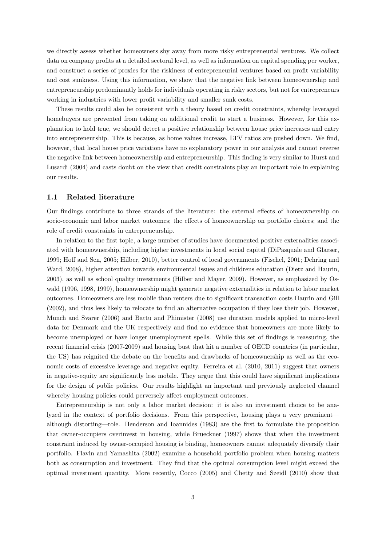we directly assess whether homeowners shy away from more risky entrepreneurial ventures. We collect data on company profits at a detailed sectoral level, as well as information on capital spending per worker, and construct a series of proxies for the riskiness of entrepreneurial ventures based on profit variability and cost sunkness. Using this information, we show that the negative link between homeownership and entrepreneurship predominantly holds for individuals operating in risky sectors, but not for entrepreneurs working in industries with lower profit variability and smaller sunk costs.

These results could also be consistent with a theory based on credit constraints, whereby leveraged homebuyers are prevented from taking on additional credit to start a business. However, for this explanation to hold true, we should detect a positive relationship between house price increases and entry into entrepreneurship. This is because, as home values increase, LTV ratios are pushed down. We find, however, that local house price variations have no explanatory power in our analysis and cannot reverse the negative link between homeownership and entrepreneurship. This finding is very similar to [Hurst and](#page-24-1) [Lusardi](#page-24-1) [\(2004\)](#page-24-1) and casts doubt on the view that credit constraints play an important role in explaining our results.

## 1.1 Related literature

Our findings contribute to three strands of the literature: the external effects of homeownership on socio-economic and labor market outcomes; the effects of homeownership on portfolio choices; and the role of credit constraints in entrepreneurship.

In relation to the first topic, a large number of studies have documented positive externalities associated with homeownership, including higher investments in local social capital [\(DiPasquale and Glaeser,](#page-22-2) [1999;](#page-22-2) [Hoff and Sen, 2005;](#page-23-2) [Hilber, 2010\)](#page-23-3), better control of local governments [\(Fischel, 2001;](#page-23-4) [Dehring and](#page-22-3) [Ward, 2008\)](#page-22-3), higher attention towards environmental issues and childrens education [\(Dietz and Haurin,](#page-22-4) [2003\)](#page-22-4), as well as school quality investments [\(Hilber and Mayer, 2009\)](#page-23-5). However, as emphasized by [Os](#page-24-2)[wald](#page-24-2) [\(1996,](#page-24-2) [1998,](#page-24-3) [1999\)](#page-24-4), homeownership might generate negative externalities in relation to labor market outcomes. Homeowners are less mobile than renters due to significant transaction costs [Haurin and Gill](#page-23-6) [\(2002\)](#page-23-6), and thus less likely to relocate to find an alternative occupation if they lose their job. However, [Munch and Svarer](#page-24-5) [\(2006\)](#page-24-5) and [Battu and Phimister](#page-22-5) [\(2008\)](#page-22-5) use duration models applied to micro-level data for Denmark and the UK respectively and find no evidence that homeowners are more likely to become unemployed or have longer unemployment spells. While this set of findings is reassuring, the recent financial crisis (2007-2009) and housing bust that hit a number of OECD countries (in particular, the US) has reignited the debate on the benefits and drawbacks of homeownership as well as the economic costs of excessive leverage and negative equity. [Ferreira et al.](#page-23-7) [\(2010,](#page-23-7) [2011\)](#page-23-8) suggest that owners in negative-equity are significantly less mobile. They argue that this could have significant implications for the design of public policies. Our results highlight an important and previously neglected channel whereby housing policies could perversely affect employment outcomes.

Entrepreneurship is not only a labor market decision: it is also an investment choice to be analyzed in the context of portfolio decisions. From this perspective, housing plays a very prominent although distorting—role. [Henderson and Ioannides](#page-23-9) [\(1983\)](#page-23-9) are the first to formulate the proposition that owner-occupiers overinvest in housing, while [Brueckner](#page-22-1) [\(1997\)](#page-22-1) shows that when the investment constraint induced by owner-occupied housing is binding, homeowners cannot adequately diversify their portfolio. [Flavin and Yamashita](#page-23-0) [\(2002\)](#page-23-0) examine a household portfolio problem when housing matters both as consumption and investment. They find that the optimal consumption level might exceed the optimal investment quantity. More recently, [Cocco](#page-22-6) [\(2005\)](#page-22-6) and [Chetty and Szeidl](#page-22-7) [\(2010\)](#page-22-7) show that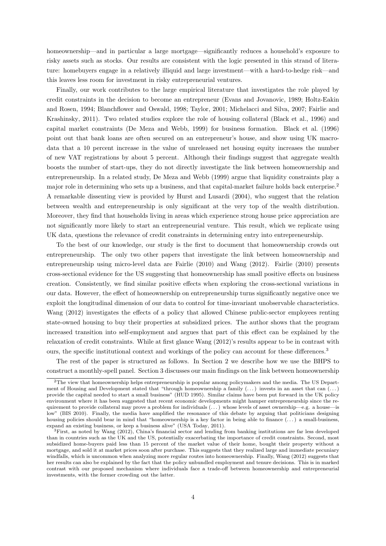homeownership—and in particular a large mortgage—significantly reduces a household's exposure to risky assets such as stocks. Our results are consistent with the logic presented in this strand of literature: homebuyers engage in a relatively illiquid and large investment—with a hard-to-hedge risk—and this leaves less room for investment in risky entrepreneurial ventures.

Finally, our work contributes to the large empirical literature that investigates the role played by credit constraints in the decision to become an entrepreneur [\(Evans and Jovanovic, 1989;](#page-22-8) [Holtz-Eakin](#page-24-6) [and Rosen, 1994;](#page-24-6) [Blanchflower and Oswald, 1998;](#page-22-9) [Taylor, 2001;](#page-24-7) [Michelacci and Silva, 2007;](#page-24-8) [Fairlie and](#page-23-10) [Krashinsky, 2011\)](#page-23-10). Two related studies explore the role of housing collateral [\(Black et al., 1996\)](#page-22-10) and capital market constraints [\(De Meza and Webb, 1999\)](#page-22-11) for business formation. [Black et al.](#page-22-10) [\(1996\)](#page-22-10) point out that bank loans are often secured on an entrepreneur's house, and show using UK macrodata that a 10 percent increase in the value of unreleased net housing equity increases the number of new VAT registrations by about 5 percent. Although their findings suggest that aggregate wealth boosts the number of start-ups, they do not directly investigate the link between homeownership and entrepreneurship. In a related study, [De Meza and Webb](#page-22-11) [\(1999\)](#page-22-11) argue that liquidity constraints play a major role in determining who sets up a business, and that capital-market failure holds back enterprise.<sup>[2](#page-3-0)</sup> A remarkable dissenting view is provided by [Hurst and Lusardi](#page-24-1) [\(2004\)](#page-24-1), who suggest that the relation between wealth and entrepreneurship is only significant at the very top of the wealth distribution. Moreover, they find that households living in areas which experience strong house price appreciation are not significantly more likely to start an entrepreneurial venture. This result, which we replicate using UK data, questions the relevance of credit constraints in determining entry into entrepreneurship.

To the best of our knowledge, our study is the first to document that homeownership crowds out entrepreneurship. The only two other papers that investigate the link between homeownership and entrepreneurship using micro-level data are [Fairlie](#page-23-11) [\(2010\)](#page-23-11) and [Wang](#page-24-9) [\(2012\)](#page-24-9). [Fairlie](#page-23-11) [\(2010\)](#page-23-11) presents cross-sectional evidence for the US suggesting that homeownership has small positive effects on business creation. Consistently, we find similar positive effects when exploring the cross-sectional variations in our data. However, the effect of homeownership on entrepreneurship turns significantly negative once we exploit the longitudinal dimension of our data to control for time-invariant unobservable characteristics. [Wang](#page-24-9) [\(2012\)](#page-24-9) investigates the effects of a policy that allowed Chinese public-sector employees renting state-owned housing to buy their properties at subsidized prices. The author shows that the program increased transition into self-employment and argues that part of this effect can be explained by the relaxation of credit constraints. While at first glance [Wang](#page-24-9) [\(2012\)](#page-24-9)'s results appear to be in contrast with ours, the specific institutional context and workings of the policy can account for these differences.<sup>[3](#page-3-1)</sup>

The rest of the paper is structured as follows. In Section [2](#page-4-0) we describe how we use the BHPS to construct a monthly-spell panel. Section [3](#page-7-0) discusses our main findings on the link between homeownership

<span id="page-3-0"></span><sup>2</sup>The view that homeownership helps entrepreneurship is popular among policymakers and the media. The US Department of Housing and Development stated that "through homeownership a family  $(\ldots)$  invests in an asset that can  $(\ldots)$ provide the capital needed to start a small business" (HUD [1995\)](#page-24-10). Similar claims have been put forward in the UK policy environment where it has been suggested that recent economic developments might hamper entrepreneurship since the requirement to provide collateral may prove a problem for individuals (. . . ) whose levels of asset ownership—e.g. a house—is low" (BIS [2010\)](#page-22-12). Finally, the media have amplified the resonance of this debate by arguing that politicians designing housing policies should bear in mind that "homeownership is a key factor in being able to finance  $(\ldots)$  a small-business, expand an existing business, or keep a business alive" [\(USA Today, 2011\)](#page-24-11).

<span id="page-3-1"></span><sup>3</sup>First, as noted by [Wang](#page-24-9) [\(2012\)](#page-24-9), China's financial sector and lending from banking institutions are far less developed than in countries such as the UK and the US, potentially exacerbating the importance of credit constraints. Second, most subsidized home-buyers paid less than 15 percent of the market value of their home, bought their property without a mortgage, and sold it at market prices soon after purchase. This suggests that they realized large and immediate pecuniary windfalls, which is uncommon when analyzing more regular routes into homeownership. Finally, [Wang](#page-24-9) [\(2012\)](#page-24-9) suggests that her results can also be explained by the fact that the policy unbundled employment and tenure decisions. This is in marked contrast with our proposed mechanism where individuals face a trade-off between homeownership and entrepreneurial investments, with the former crowding out the latter.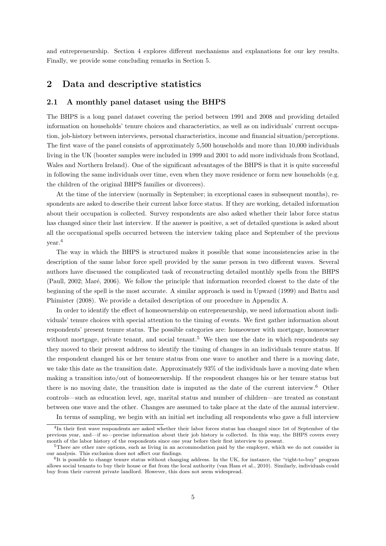and entrepreneurship. Section [4](#page-14-0) explores different mechanisms and explanations for our key results. Finally, we provide some concluding remarks in Section [5.](#page-21-0)

## <span id="page-4-0"></span>2 Data and descriptive statistics

### 2.1 A monthly panel dataset using the BHPS

The BHPS is a long panel dataset covering the period between 1991 and 2008 and providing detailed information on households' tenure choices and characteristics, as well as on individuals' current occupation, job-history between interviews, personal characteristics, income and financial situation/perceptions. The first wave of the panel consists of approximately 5,500 households and more than 10,000 individuals living in the UK (booster samples were included in 1999 and 2001 to add more individuals from Scotland, Wales and Northern Ireland). One of the significant advantages of the BHPS is that it is quite successful in following the same individuals over time, even when they move residence or form new households (e.g. the children of the original BHPS families or divorcees).

At the time of the interview (normally in September; in exceptional cases in subsequent months), respondents are asked to describe their current labor force status. If they are working, detailed information about their occupation is collected. Survey respondents are also asked whether their labor force status has changed since their last interview. If the answer is positive, a set of detailed questions is asked about all the occupational spells occurred between the interview taking place and September of the previous year.[4](#page-4-1)

The way in which the BHPS is structured makes it possible that some inconsistencies arise in the description of the same labor force spell provided by the same person in two different waves. Several authors have discussed the complicated task of reconstructing detailed monthly spells from the BHPS [\(Paull, 2002;](#page-24-12) Maré, 2006). We follow the principle that information recorded closest to the date of the beginning of the spell is the most accurate. A similar approach is used in [Upward](#page-24-14) [\(1999\)](#page-24-14) and [Battu and](#page-22-5) [Phimister](#page-22-5) [\(2008\)](#page-22-5). We provide a detailed description of our procedure in Appendix [A.](#page-25-0)

In order to identify the effect of homeownership on entrepreneurship, we need information about individuals' tenure choices with special attention to the timing of events. We first gather information about respondents' present tenure status. The possible categories are: homeowner with mortgage, homeowner without mortgage, private tenant, and social tenant.<sup>[5](#page-4-2)</sup> We then use the date in which respondents say they moved to their present address to identify the timing of changes in an individuals tenure status. If the respondent changed his or her tenure status from one wave to another and there is a moving date, we take this date as the transition date. Approximately 93% of the individuals have a moving date when making a transition into/out of homeownership. If the respondent changes his or her tenure status but there is no moving date, the transition date is imputed as the date of the current interview.<sup>[6](#page-4-3)</sup> Other controls—such as education level, age, marital status and number of children—are treated as constant between one wave and the other. Changes are assumed to take place at the date of the annual interview.

<span id="page-4-1"></span>In terms of sampling, we begin with an initial set including all respondents who gave a full interview

<sup>4</sup> In their first wave respondents are asked whether their labor forces status has changed since 1st of September of the previous year, and—if so—precise information about their job history is collected. In this way, the BHPS covers every month of the labor history of the respondents since one year before their first interview to present.

<span id="page-4-2"></span><sup>&</sup>lt;sup>5</sup>There are other rare options, such as living in an accommodation paid by the employer, which we do not consider in our analysis. This exclusion does not affect our findings.

<span id="page-4-3"></span><sup>6</sup> It is possible to change tenure status without changing address. In the UK, for instance, the "right-to-buy" program allows social tenants to buy their house or flat from the local authority [\(van Ham et al., 2010\)](#page-24-15). Similarly, individuals could buy from their current private landlord. However, this does not seem widespread.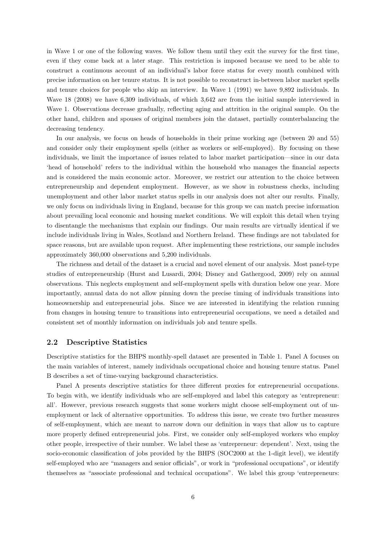in Wave 1 or one of the following waves. We follow them until they exit the survey for the first time, even if they come back at a later stage. This restriction is imposed because we need to be able to construct a continuous account of an individual's labor force status for every month combined with precise information on her tenure status. It is not possible to reconstruct in-between labor market spells and tenure choices for people who skip an interview. In Wave 1 (1991) we have 9,892 individuals. In Wave 18 (2008) we have 6,309 individuals, of which 3,642 are from the initial sample interviewed in Wave 1. Observations decrease gradually, reflecting aging and attrition in the original sample. On the other hand, children and spouses of original members join the dataset, partially counterbalancing the decreasing tendency.

In our analysis, we focus on heads of households in their prime working age (between 20 and 55) and consider only their employment spells (either as workers or self-employed). By focusing on these individuals, we limit the importance of issues related to labor market participation—since in our data 'head of household' refers to the individual within the household who manages the financial aspects and is considered the main economic actor. Moreover, we restrict our attention to the choice between entrepreneurship and dependent employment. However, as we show in robustness checks, including unemployment and other labor market status spells in our analysis does not alter our results. Finally, we only focus on individuals living in England, because for this group we can match precise information about prevailing local economic and housing market conditions. We will exploit this detail when trying to disentangle the mechanisms that explain our findings. Our main results are virtually identical if we include individuals living in Wales, Scotland and Northern Ireland. These findings are not tabulated for space reasons, but are available upon request. After implementing these restrictions, our sample includes approximately 360,000 observations and 5,200 individuals.

The richness and detail of the dataset is a crucial and novel element of our analysis. Most panel-type studies of entrepreneurship [\(Hurst and Lusardi, 2004;](#page-24-1) [Disney and Gathergood, 2009\)](#page-22-13) rely on annual observations. This neglects employment and self-employment spells with duration below one year. More importantly, annual data do not allow pinning down the precise timing of individuals transitions into homeownership and entrepreneurial jobs. Since we are interested in identifying the relation running from changes in housing tenure to transitions into entrepreneurial occupations, we need a detailed and consistent set of monthly information on individuals job and tenure spells.

### 2.2 Descriptive Statistics

Descriptive statistics for the BHPS monthly-spell dataset are presented in Table [1.](#page-6-0) Panel A focuses on the main variables of interest, namely individuals occupational choice and housing tenure status. Panel B describes a set of time-varying background characteristics.

Panel A presents descriptive statistics for three different proxies for entrepreneurial occupations. To begin with, we identify individuals who are self-employed and label this category as 'entrepreneur: all'. However, previous research suggests that some workers might choose self-employment out of unemployment or lack of alternative opportunities. To address this issue, we create two further measures of self-employment, which are meant to narrow down our definition in ways that allow us to capture more properly defined entrepreneurial jobs. First, we consider only self-employed workers who employ other people, irrespective of their number. We label these as 'entrepreneur: dependent'. Next, using the socio-economic classification of jobs provided by the BHPS (SOC2000 at the 1-digit level), we identify self-employed who are "managers and senior officials", or work in "professional occupations", or identify themselves as "associate professional and technical occupations". We label this group 'entrepreneurs: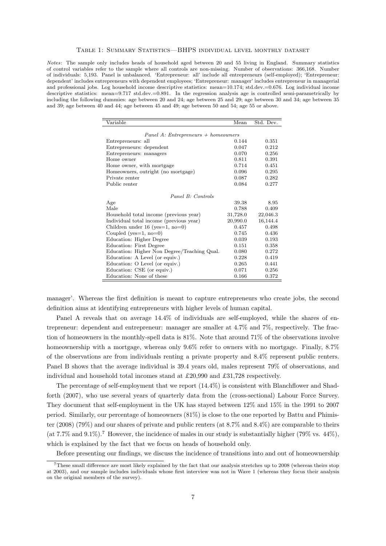#### Table 1: Summary Statistics—BHPS individual level monthly dataset

<span id="page-6-0"></span>Notes: The sample only includes heads of household aged between 20 and 55 living in England. Summary statistics of control variables refer to the sample where all controls are non-missing. Number of observations: 366,168. Number of individuals: 5,193. Panel is unbalanced. 'Entrepreneur: all' include all entrepreneurs (self-employed); 'Entrepreneur: dependent' includes entrepreneurs with dependent employees; 'Entrepreneur: manager' includes entrepreneur in managerial and professional jobs. Log household income descriptive statistics: mean=10.174; std.dev.=0.676. Log individual income descriptive statistics: mean=9.717 std.dev.=0.891. In the regression analysis age is controlled semi-parametrically by including the following dummies: age between 20 and 24; age between 25 and 29; age between 30 and 34; age between 35 and 39; age between 40 and 44; age between 45 and 49; age between 50 and 54; age 55 or above.

| Variable                                    | Mean     | Std. Dev. |
|---------------------------------------------|----------|-----------|
|                                             |          |           |
| Panel A: Entrepreneurs $+$ homeowners       |          |           |
| Entrepreneurs: all                          | 0.144    | 0.351     |
| Entrepreneurs: dependent                    | 0.047    | 0.212     |
| Entrepreneurs: managers                     | 0.070    | 0.256     |
| Home owner                                  | 0.811    | 0.391     |
| Home owner, with mortgage                   | 0.714    | 0.451     |
| Homeowners, outright (no mortgage)          | 0.096    | 0.295     |
| Private renter                              | 0.087    | 0.282     |
| Public renter                               | 0.084    | 0.277     |
|                                             |          |           |
| Panel B: Controls                           |          |           |
| Age                                         | 39.38    | 8.95      |
| Male                                        | 0.788    | 0.409     |
| Household total income (previous year)      | 31,728.0 | 22,046.3  |
| Individual total income (previous year)     | 20,990.0 | 16,144.4  |
| Children under $16$ (yes=1, no=0)           | 0.457    | 0.498     |
| Coupled ( $yes=1$ , $no=0$ )                | 0.745    | 0.436     |
| Education: Higher Degree                    | 0.039    | 0.193     |
| Education: First Degree                     | 0.151    | 0.358     |
| Education: Higher Non Degree/Teaching Qual. | 0.080    | 0.272     |
| Education: A Level (or equiv.)              | 0.228    | 0.419     |
| Education: O Level (or equiv.)              | 0.265    | 0.441     |
| Education: CSE (or equiv.)                  | 0.071    | 0.256     |
| Education: None of these                    | 0.166    | 0.372     |

manager'. Whereas the first definition is meant to capture entrepreneurs who create jobs, the second definition aims at identifying entrepreneurs with higher levels of human capital.

Panel A reveals that on average 14.4% of individuals are self-employed, while the shares of entrepreneur: dependent and entrepreneur: manager are smaller at 4.7% and 7%, respectively. The fraction of homeowners in the monthly-spell data is 81%. Note that around 71% of the observations involve homeownership with a mortgage, whereas only  $9.6\%$  refer to owners with no mortgage. Finally,  $8.7\%$ of the observations are from individuals renting a private property and 8.4% represent public renters. Panel B shows that the average individual is 39.4 years old, males represent 79% of observations, and individual and household total incomes stand at £20,990 and £31,728 respectively.

The percentage of self-employment that we report (14.4%) is consistent with [Blanchflower and Shad](#page-22-14)[forth](#page-22-14) [\(2007\)](#page-22-14), who use several years of quarterly data from the (cross-sectional) Labour Force Survey. They document that self-employment in the UK has stayed between 12% and 15% in the 1991 to 2007 period. Similarly, our percentage of homeowners (81%) is close to the one reported by [Battu and Phimis](#page-22-5)[ter](#page-22-5) [\(2008\)](#page-22-5) (79%) and our shares of private and public renters (at 8.7% and 8.4%) are comparable to theirs (at [7](#page-6-1).7% and 9.1%).<sup>7</sup> However, the incidence of males in our study is substantially higher (79% vs. 44%), which is explained by the fact that we focus on heads of household only.

Before presenting our findings, we discuss the incidence of transitions into and out of homeownership

<span id="page-6-1"></span><sup>7</sup>These small difference are most likely explained by the fact that our analysis stretches up to 2008 (whereas theirs stop at 2003), and our sample includes individuals whose first interview was not in Wave 1 (whereas they focus their analysis on the original members of the survey).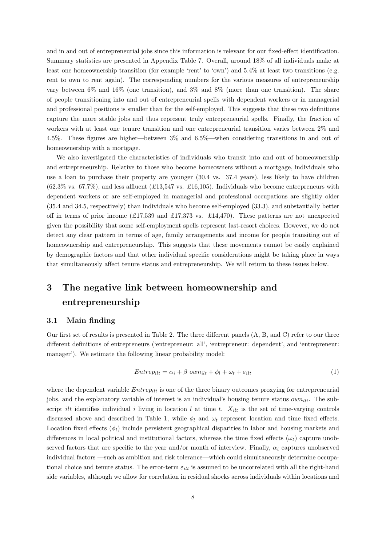and in and out of entrepreneurial jobs since this information is relevant for our fixed-effect identification. Summary statistics are presented in Appendix Table [7.](#page-26-0) Overall, around 18% of all individuals make at least one homeownership transition (for example 'rent' to 'own') and 5.4% at least two transitions (e.g. rent to own to rent again). The corresponding numbers for the various measures of entrepreneurship vary between 6% and 16% (one transition), and 3% and 8% (more than one transition). The share of people transitioning into and out of entrepreneurial spells with dependent workers or in managerial and professional positions is smaller than for the self-employed. This suggests that these two definitions capture the more stable jobs and thus represent truly entrepreneurial spells. Finally, the fraction of workers with at least one tenure transition and one entrepreneurial transition varies between 2% and 4.5%. These figures are higher—between 3% and 6.5%—when considering transitions in and out of homeownership with a mortgage.

We also investigated the characteristics of individuals who transit into and out of homeownership and entrepreneurship. Relative to those who become homeowners without a mortgage, individuals who use a loan to purchase their property are younger (30.4 vs. 37.4 years), less likely to have children  $(62.3\% \text{ vs. } 67.7\%)$ , and less affluent  $(£13,547 \text{ vs. } £16,105)$ . Individuals who become entrepreneurs with dependent workers or are self-employed in managerial and professional occupations are slightly older (35.4 and 34.5, respectively) than individuals who become self-employed (33.3), and substantially better off in terms of prior income  $(£17,539$  and  $£17,373$  vs.  $£14,470$ . These patterns are not unexpected given the possibility that some self-employment spells represent last-resort choices. However, we do not detect any clear pattern in terms of age, family arrangements and income for people transiting out of homeownership and entrepreneurship. This suggests that these movements cannot be easily explained by demographic factors and that other individual specific considerations might be taking place in ways that simultaneously affect tenure status and entrepreneurship. We will return to these issues below.

# <span id="page-7-0"></span>3 The negative link between homeownership and entrepreneurship

### 3.1 Main finding

Our first set of results is presented in Table [2.](#page-8-0) The three different panels (A, B, and C) refer to our three different definitions of entrepreneurs ('entrepreneur: all', 'entrepreneur: dependent', and 'entrepreneur: manager'). We estimate the following linear probability model:

<span id="page-7-1"></span>
$$
Entrep_{ilt} = \alpha_i + \beta \ own_{ilt} + \phi_l + \omega_t + \varepsilon_{ilt} \tag{1}
$$

where the dependent variable  $Entropy_{ilt}$  is one of the three binary outcomes proxying for entrepreneurial jobs, and the explanatory variable of interest is an individual's housing tenure status  $own_{ilt}$ . The subscript *ilt* identifies individual i living in location l at time t.  $X_{ilt}$  is the set of time-varying controls discussed above and described in Table [1,](#page-6-0) while  $\phi_l$  and  $\omega_t$  represent location and time fixed effects. Location fixed effects  $(\phi_l)$  include persistent geographical disparities in labor and housing markets and differences in local political and institutional factors, whereas the time fixed effects  $(\omega_t)$  capture unobserved factors that are specific to the year and/or month of interview. Finally,  $\alpha_i$  captures unobserved individual factors —such as ambition and risk tolerance—which could simultaneously determine occupational choice and tenure status. The error-term  $\varepsilon_{i l t}$  is assumed to be uncorrelated with all the right-hand side variables, although we allow for correlation in residual shocks across individuals within locations and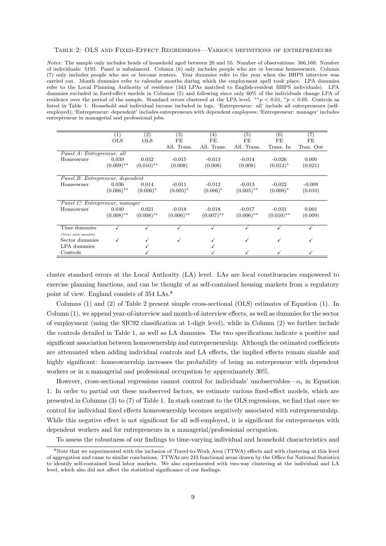#### <span id="page-8-0"></span>Table 2: OLS and Fixed-Effect Regressions—Various definitions of entrepreneurs

Notes: The sample only includes heads of household aged between 20 and 55. Number of observations: 366,168. Number of individuals: 5193. Panel is unbalanced. Column (6) only includes people who are or become homeowners. Column (7) only includes people who are or become renters. Year dummies refer to the year when the BHPS interview was carried out. Month dummies refer to calendar months during which the employment spell took place. LPA dummies refer to the Local Planning Authority of residence (343 LPAs matched to English-resident BHPS individuals). LPA dummies excluded in fixed-effect models in Columns (5) and following since only 60% of the individuals change LPA of residence over the period of the sample. Standard errors clustered at the LPA level. \*\*p < 0.01, \*p < 0.05. Controls as listed in Table [1.](#page-6-0) Household and individual income included in logs. 'Entrepreneur: all' include all entrepreneurs (selfemployed); 'Entrepreneur: dependent' includes entrepreneurs with dependent employees; 'Entrepreneur: manager' includes entrepreneur in managerial and professional jobs.

|                                  | (1)<br><b>OLS</b> | (2)<br><b>OLS</b>       | (3)<br>FE    | (4)<br>FE    | (5)<br>FE    | (6)<br>FE    | (7)<br>FE |
|----------------------------------|-------------------|-------------------------|--------------|--------------|--------------|--------------|-----------|
|                                  |                   |                         | All. Trans.  | All. Trans.  | All. Trans.  | Trans. In    | Tran. Out |
| Panel A: Entrepreneur, all       |                   |                         |              |              |              |              |           |
| Homeowner                        | 0.039             | 0.032                   | $-0.015$     | $-0.013$     | $-0.014$     | $-0.026$     | 0.000     |
|                                  | $(0.009)$ **      | $(0.010)$ <sup>**</sup> | (0.008)      | (0.008)      | (0.008)      | $(0.012)^*$  | (0.021)   |
|                                  |                   |                         |              |              |              |              |           |
| Panel B: Entrepreneur, dependent |                   |                         |              |              |              |              |           |
| Homeowner                        | 0.036             | 0.014                   | $-0.011$     | $-0.012$     | $-0.013$     | $-0.022$     | $-0.009$  |
|                                  | $(0.006)$ **      | $(0.006)^*$             | $(0.005)^*$  | $(0.006)^*$  | $(0.005)$ ** | $(0.009)^*$  | (0.010)   |
| Panel C: Entrepreneur, manager   |                   |                         |              |              |              |              |           |
| Homeowner                        | 0.040             | 0.021                   | $-0.018$     | $-0.018$     | $-0.017$     | $-0.031$     | 0.001     |
|                                  | $(0.008)$ **      | $(0.008)$ **            | $(0.006)$ ** | $(0.007)$ ** | $(0.006)$ ** | $(0.010)$ ** | (0.009)   |
|                                  |                   |                         |              |              |              |              |           |
| Time dummies                     |                   |                         |              |              | √            |              | ✓         |
| (Year and month)                 |                   |                         |              |              |              |              |           |
| Sector dummies                   | √                 | ✓                       | ✓            |              | ✓            | √            | ✓         |
| LPA dummies                      |                   |                         |              |              |              |              |           |
| Controls                         |                   |                         |              |              |              |              |           |

cluster standard errors at the Local Authority (LA) level. LAs are local constituencies empowered to exercise planning functions, and can be thought of as self-contained housing markets from a regulatory point of view. England consists of 354 LAs.<sup>[8](#page-8-1)</sup>

Columns (1) and (2) of Table [2](#page-8-0) present simple cross-sectional (OLS) estimates of Equation (1). In Column (1), we append year-of-interview and month-of-interview effects, as well as dummies for the sector of employment (using the SIC92 classification at 1-digit level), while in Column (2) we further include the controls detailed in Table [1,](#page-6-0) as well as LA dummies. The two specifications indicate a positive and significant association between homeownership and entrepreneurship. Although the estimated coefficients are attenuated when adding individual controls and LA effects, the implied effects remain sizable and highly significant: homeownership increases the probability of being an entrepreneur with dependent workers or in a managerial and professional occupation by approximately 30%.

However, cross-sectional regressions cannot control for individuals' unobservables— $\alpha_i$  in Equation [1.](#page-7-1) In order to partial out these unobserved factors, we estimate various fixed-effect models, which are presented in Columns (3) to (7) of Table [1.](#page-6-0) In stark contrast to the OLS regressions, we find that once we control for individual fixed effects homeownership becomes negatively associated with entrepreneurship. While this negative effect is not significant for all self-employed, it is significant for entrepreneurs with dependent workers and for entrepreneurs in a managerial/professional occupation.

<span id="page-8-1"></span>To assess the robustness of our findings to time-varying individual and household characteristics and

<sup>8</sup>Note that we experimented with the inclusion of Travel-to-Work Area (TTWA) effects and with clustering at this level of aggregation and came to similar conclusions. TTWAs are 243 functional areas drawn by the Office for National Statistics to identify self-contained local labor markets. We also experimented with two-way clustering at the individual and LA level, which also did not affect the statistical significance of our findings.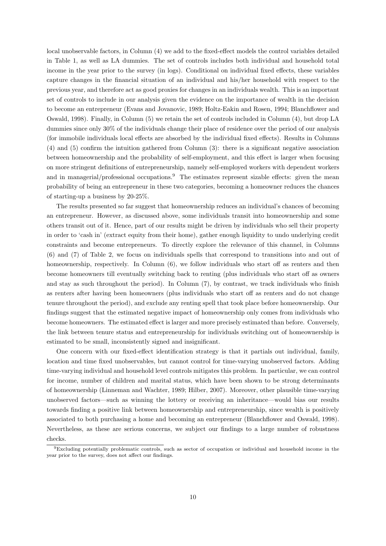local unobservable factors, in Column (4) we add to the fixed-effect models the control variables detailed in Table [1,](#page-6-0) as well as LA dummies. The set of controls includes both individual and household total income in the year prior to the survey (in logs). Conditional on individual fixed effects, these variables capture changes in the financial situation of an individual and his/her household with respect to the previous year, and therefore act as good proxies for changes in an individuals wealth. This is an important set of controls to include in our analysis given the evidence on the importance of wealth in the decision to become an entrepreneur [\(Evans and Jovanovic, 1989;](#page-22-8) [Holtz-Eakin and Rosen, 1994;](#page-24-6) [Blanchflower and](#page-22-9) [Oswald, 1998\)](#page-22-9). Finally, in Column (5) we retain the set of controls included in Column (4), but drop LA dummies since only 30% of the individuals change their place of residence over the period of our analysis (for immobile individuals local effects are absorbed by the individual fixed effects). Results in Columns (4) and (5) confirm the intuition gathered from Column (3): there is a significant negative association between homeownership and the probability of self-employment, and this effect is larger when focusing on more stringent definitions of entrepreneurship, namely self-employed workers with dependent workers and in managerial/professional occupations.<sup>[9](#page-9-0)</sup> The estimates represent sizable effects: given the mean probability of being an entrepreneur in these two categories, becoming a homeowner reduces the chances of starting-up a business by 20-25%.

The results presented so far suggest that homeownership reduces an individual's chances of becoming an entrepreneur. However, as discussed above, some individuals transit into homeownership and some others transit out of it. Hence, part of our results might be driven by individuals who sell their property in order to 'cash in' (extract equity from their home), gather enough liquidity to undo underlying credit constraints and become entrepreneurs. To directly explore the relevance of this channel, in Columns (6) and (7) of Table [2,](#page-8-0) we focus on individuals spells that correspond to transitions into and out of homeownership, respectively. In Column  $(6)$ , we follow individuals who start off as renters and then become homeowners till eventually switching back to renting (plus individuals who start off as owners and stay as such throughout the period). In Column (7), by contrast, we track individuals who finish as renters after having been homeowners (plus individuals who start off as renters and do not change tenure throughout the period), and exclude any renting spell that took place before homeownership. Our findings suggest that the estimated negative impact of homeownership only comes from individuals who become homeowners. The estimated effect is larger and more precisely estimated than before. Conversely, the link between tenure status and entrepreneurship for individuals switching out of homeownership is estimated to be small, inconsistently signed and insignificant.

One concern with our fixed-effect identification strategy is that it partials out individual, family, location and time fixed unobservables, but cannot control for time-varying unobserved factors. Adding time-varying individual and household level controls mitigates this problem. In particular, we can control for income, number of children and marital status, which have been shown to be strong determinants of homeownership [\(Linneman and Wachter, 1989;](#page-24-16) [Hilber, 2007\)](#page-23-12). Moreover, other plausible time-varying unobserved factors—such as winning the lottery or receiving an inheritance—would bias our results towards finding a positive link between homeownership and entrepreneurship, since wealth is positively associated to both purchasing a home and becoming an entrepreneur [\(Blanchflower and Oswald, 1998\)](#page-22-9). Nevertheless, as these are serious concerns, we subject our findings to a large number of robustness checks.

<span id="page-9-0"></span><sup>9</sup>Excluding potentially problematic controls, such as sector of occupation or individual and household income in the year prior to the survey, does not affect our findings.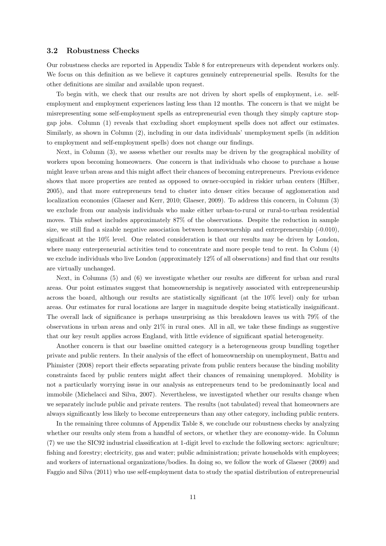### 3.2 Robustness Checks

Our robustness checks are reported in Appendix Table [8](#page-27-0) for entrepreneurs with dependent workers only. We focus on this definition as we believe it captures genuinely entrepreneurial spells. Results for the other definitions are similar and available upon request.

To begin with, we check that our results are not driven by short spells of employment, i.e. selfemployment and employment experiences lasting less than 12 months. The concern is that we might be misrepresenting some self-employment spells as entrepreneurial even though they simply capture stopgap jobs. Column (1) reveals that excluding short employment spells does not affect our estimates. Similarly, as shown in Column (2), including in our data individuals' unemployment spells (in addition to employment and self-employment spells) does not change our findings.

Next, in Column (3), we assess whether our results may be driven by the geographical mobility of workers upon becoming homeowners. One concern is that individuals who choose to purchase a house might leave urban areas and this might affect their chances of becoming entrepreneurs. Previous evidence shows that more properties are rented as opposed to owner-occupied in riskier urban centers [\(Hilber,](#page-23-13) [2005\)](#page-23-13), and that more entrepreneurs tend to cluster into denser cities because of agglomeration and localization economies [\(Glaeser and Kerr, 2010;](#page-23-14) [Glaeser, 2009\)](#page-23-15). To address this concern, in Column (3) we exclude from our analysis individuals who make either urban-to-rural or rural-to-urban residential moves. This subset includes approximately 87% of the observations. Despite the reduction in sample size, we still find a sizable negative association between homeownership and entrepreneurship (-0.010), significant at the 10% level. One related consideration is that our results may be driven by London, where many entrepreneurial activities tend to concentrate and more people tend to rent. In Colum (4) we exclude individuals who live London (approximately 12% of all observations) and find that our results are virtually unchanged.

Next, in Columns (5) and (6) we investigate whether our results are different for urban and rural areas. Our point estimates suggest that homeownership is negatively associated with entrepreneurship across the board, although our results are statistically significant (at the 10% level) only for urban areas. Our estimates for rural locations are larger in magnitude despite being statistically insignificant. The overall lack of significance is perhaps unsurprising as this breakdown leaves us with 79% of the observations in urban areas and only 21% in rural ones. All in all, we take these findings as suggestive that our key result applies across England, with little evidence of significant spatial heterogeneity.

Another concern is that our baseline omitted category is a heterogeneous group bundling together private and public renters. In their analysis of the effect of homeownership on unemployment, [Battu and](#page-22-5) [Phimister](#page-22-5) [\(2008\)](#page-22-5) report their effects separating private from public renters because the binding mobility constraints faced by public renters might affect their chances of remaining unemployed. Mobility is not a particularly worrying issue in our analysis as entrepreneurs tend to be predominantly local and immobile [\(Michelacci and Silva, 2007\)](#page-24-8). Nevertheless, we investigated whether our results change when we separately include public and private renters. The results (not tabulated) reveal that homeowners are always significantly less likely to become entrepreneurs than any other category, including public renters.

In the remaining three columns of Appendix Table [8,](#page-27-0) we conclude our robustness checks by analyzing whether our results only stem from a handful of sectors, or whether they are economy-wide. In Column (7) we use the SIC92 industrial classification at 1-digit level to exclude the following sectors: agriculture; fishing and forestry; electricity, gas and water; public administration; private households with employees; and workers of international organizations/bodies. In doing so, we follow the work of [Glaeser](#page-23-15) [\(2009\)](#page-23-15) and [Faggio and Silva](#page-23-16) [\(2011\)](#page-23-16) who use self-employment data to study the spatial distribution of entrepreneurial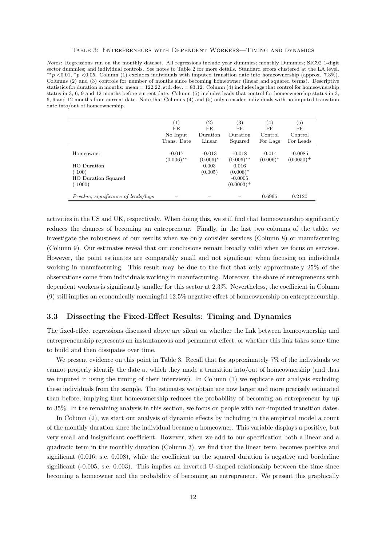#### Table 3: Entrepreneurs with Dependent Workers—Timing and dynamics

<span id="page-11-0"></span>Notes: Regressions run on the monthly dataset. All regressions include year dummies; monthly Dummies; SIC92 1-digit sector dummies; and individual controls. See notes to Table [2](#page-8-0) for more details. Standard errors clustered at the LA level. ∗∗p <0.01, <sup>∗</sup>p <0.05. Column (1) excludes individuals with imputed transition date into homeownership (approx. 7.3%). Columns (2) and (3) controls for number of months since becoming homeowner (linear and squared terms). Descriptive statistics for duration in months: mean  $= 122.22$ ; std. dev.  $= 83.12$ . Column (4) includes lags that control for homeownership status in 3, 6, 9 and 12 months before current date. Column (5) includes leads that control for homeownership status in 3, 6, 9 and 12 months from current date. Note that Columns (4) and (5) only consider individuals with no imputed transition date into/out of homeownership.

|                                            | $\left( 1\right)$<br><b>FE</b> | $\left( 2\right)$<br>FE | $\left( 3\right)$<br>FE  | (4)<br>FE               | $\left( 5\right)$<br>FE   |
|--------------------------------------------|--------------------------------|-------------------------|--------------------------|-------------------------|---------------------------|
|                                            | No Input<br>Trans. Date        | Duration<br>Linear      | Duration                 | Control                 | Control<br>For Leads      |
|                                            |                                |                         | Squared                  | For Lags                |                           |
| Homeowner                                  | $-0.017$<br>$(0.006)$ **       | $-0.013$<br>$(0.006)^*$ | $-0.018$<br>$(0.006)$ ** | $-0.014$<br>$(0.006)^*$ | $-0.0085$<br>$(0.0050)^+$ |
| <b>HO</b> Duration                         |                                | 0.003                   | 0.016                    |                         |                           |
| 100)                                       |                                | (0.005)                 | $(0.008)^*$              |                         |                           |
| <b>HO</b> Duration Squared                 |                                |                         | $-0.0005$                |                         |                           |
| 1000)                                      |                                |                         | $(0.0003)^+$             |                         |                           |
|                                            |                                |                         |                          |                         |                           |
| <i>P-value, significance of leads/lags</i> |                                |                         |                          | 0.6995                  | 0.2120                    |

activities in the US and UK, respectively. When doing this, we still find that homeownership significantly reduces the chances of becoming an entrepreneur. Finally, in the last two columns of the table, we investigate the robustness of our results when we only consider services (Column 8) or manufacturing (Column 9). Our estimates reveal that our conclusions remain broadly valid when we focus on services. However, the point estimates are comparably small and not significant when focusing on individuals working in manufacturing. This result may be due to the fact that only approximately 25% of the observations come from individuals working in manufacturing. Moreover, the share of entrepreneurs with dependent workers is significantly smaller for this sector at 2.3%. Nevertheless, the coefficient in Column (9) still implies an economically meaningful 12.5% negative effect of homeownership on entrepreneurship.

## 3.3 Dissecting the Fixed-Effect Results: Timing and Dynamics

The fixed-effect regressions discussed above are silent on whether the link between homeownership and entrepreneurship represents an instantaneous and permanent effect, or whether this link takes some time to build and then dissipates over time.

We present evidence on this point in Table [3.](#page-11-0) Recall that for approximately 7% of the individuals we cannot properly identify the date at which they made a transition into/out of homeownership (and thus we imputed it using the timing of their interview). In Column (1) we replicate our analysis excluding these individuals from the sample. The estimates we obtain are now larger and more precisely estimated than before, implying that homeownership reduces the probability of becoming an entrepreneur by up to 35%. In the remaining analysis in this section, we focus on people with non-imputed transition dates.

In Column (2), we start our analysis of dynamic effects by including in the empirical model a count of the monthly duration since the individual became a homeowner. This variable displays a positive, but very small and insignificant coefficient. However, when we add to our specification both a linear and a quadratic term in the monthly duration (Column 3), we find that the linear term becomes positive and significant (0.016; s.e. 0.008), while the coefficient on the squared duration is negative and borderline significant (-0.005; s.e. 0.003). This implies an inverted U-shaped relationship between the time since becoming a homeowner and the probability of becoming an entrepreneur. We present this graphically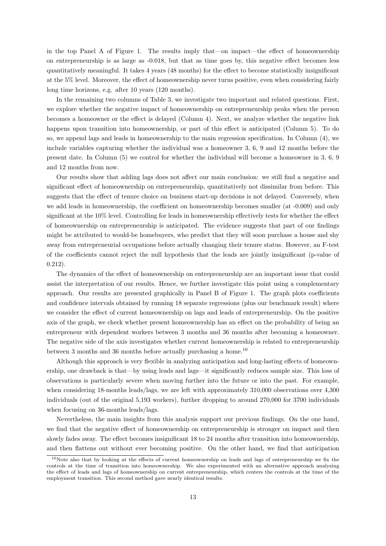in the top Panel A of Figure [1.](#page-13-0) The results imply that—on impact—the effect of homeownership on entrepreneurship is as large as -0.018, but that as time goes by, this negative effect becomes less quantitatively meaningful. It takes 4 years (48 months) for the effect to become statistically insignificant at the 5% level. Moreover, the effect of homeownership never turns positive, even when considering fairly long time horizons, e.g. after 10 years (120 months).

In the remaining two columns of Table [3,](#page-11-0) we investigate two important and related questions. First, we explore whether the negative impact of homeownership on entrepreneurship peaks when the person becomes a homeowner or the effect is delayed (Column 4). Next, we analyze whether the negative link happens upon transition into homeownership, or part of this effect is anticipated (Column 5). To do so, we append lags and leads in homeownership to the main regression specification. In Column (4), we include variables capturing whether the individual was a homeowner 3, 6, 9 and 12 months before the present date. In Column (5) we control for whether the individual will become a homeowner in 3, 6, 9 and 12 months from now.

Our results show that adding lags does not affect our main conclusion: we still find a negative and significant effect of homeownership on entrepreneurship, quantitatively not dissimilar from before. This suggests that the effect of tenure choice on business start-up decisions is not delayed. Conversely, when we add leads in homeownership, the coefficient on homeownership becomes smaller (at -0.009) and only significant at the 10% level. Controlling for leads in homeownership effectively tests for whether the effect of homeownership on entrepreneurship is anticipated. The evidence suggests that part of our findings might be attributed to would-be homebuyers, who predict that they will soon purchase a house and shy away from entrepreneurial occupations before actually changing their tenure status. However, an F-test of the coefficients cannot reject the null hypothesis that the leads are jointly insignificant (p-value of 0.212).

The dynamics of the effect of homeownership on entrepreneurship are an important issue that could assist the interpretation of our results. Hence, we further investigate this point using a complementary approach. Our results are presented graphically in Panel B of Figure [1.](#page-13-0) The graph plots coefficients and confidence intervals obtained by running 18 separate regressions (plus our benchmark result) where we consider the effect of current homeownership on lags and leads of entrepreneurship. On the positive axis of the graph, we check whether present homeownership has an effect on the probability of being an entrepreneur with dependent workers between 3 months and 36 months after becoming a homeowner. The negative side of the axis investigates whether current homeownership is related to entrepreneurship between 3 months and 36 months before actually purchasing a home.<sup>[10](#page-12-0)</sup>

Although this approach is very flexible in analyzing anticipation and long-lasting effects of homeownership, one drawback is that—by using leads and lags—it significantly reduces sample size. This loss of observations is particularly severe when moving further into the future or into the past. For example, when considering 18-months leads/lags, we are left with approximately 310,000 observations over 4,300 individuals (out of the original 5,193 workers), further dropping to around 270,000 for 3700 individuals when focusing on 36-months leads/lags.

Nevertheless, the main insights from this analysis support our previous findings. On the one hand, we find that the negative effect of homeownership on entrepreneurship is stronger on impact and then slowly fades away. The effect becomes insignificant 18 to 24 months after transition into homeownership, and then flattens out without ever becoming positive. On the other hand, we find that anticipation

<span id="page-12-0"></span><sup>10</sup>Note also that by looking at the effects of current homeownership on leads and lags of entrepreneurship we fix the controls at the time of transition into homeownership. We also experimented with an alternative approach analyzing the effect of leads and lags of homeownership on current entrepreneurship, which centers the controls at the time of the employment transition. This second method gave nearly identical results.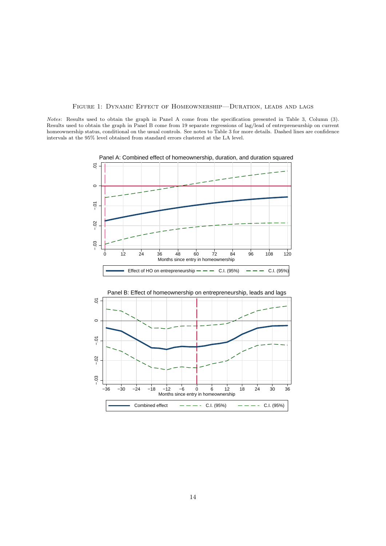### Figure 1: Dynamic Effect of Homeownership—Duration, leads and lags

<span id="page-13-0"></span>Notes: Results used to obtain the graph in Panel A come from the specification presented in Table [3,](#page-11-0) Column (3). Results used to obtain the graph in Panel B come from 19 separate regressions of lag/lead of entrepreneurship on current homeownership status, conditional on the usual controls. See notes to Table [3](#page-11-0) for more details. Dashed lines are confidence intervals at the  $95\%$  level obtained from standard errors clustered at the LA level.





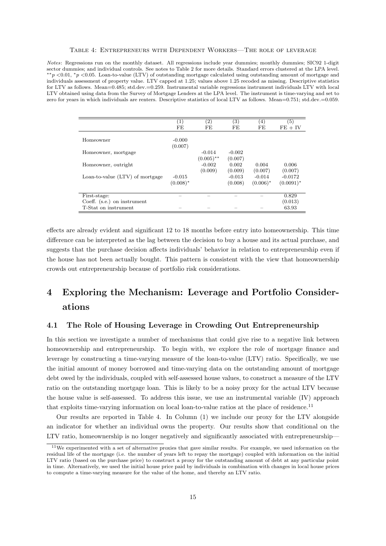#### Table 4: Entrepreneurs with Dependent Workers—The role of leverage

<span id="page-14-2"></span>Notes: Regressions run on the monthly dataset. All regressions include year dummies; monthly dummies; SIC92 1-digit sector dummies; and individual controls. See notes to Table [2](#page-8-0) for more details. Standard errors clustered at the LPA level. ∗∗p <0.01, <sup>∗</sup>p <0.05. Loan-to-value (LTV) of outstanding mortgage calculated using outstanding amount of mortgage and individuals assessment of property value. LTV capped at 1.25; values above 1.25 recoded as missing. Descriptive statistics for LTV as follows. Mean=0.485; std.dev.=0.259. Instrumental variable regressions instrument individuals LTV with local LTV obtained using data from the Survey of Mortgage Lenders at the LPA level. The instrument is time-varying and set to zero for years in which individuals are renters. Descriptive statistics of local LTV as follows. Mean=0.751; std.dev.=0.059.

|                                 | $\left(1\right)$ | (2)          | (3)      | (4)         | (5)          |
|---------------------------------|------------------|--------------|----------|-------------|--------------|
|                                 | FE               | FE           | FE       | FE          | $FE + IV$    |
|                                 |                  |              |          |             |              |
| Homeowner                       | $-0.000$         |              |          |             |              |
|                                 | (0.007)          |              |          |             |              |
| Homeowner, mortgage             |                  | $-0.014$     | $-0.002$ |             |              |
|                                 |                  | $(0.005)$ ** | (0.007)  |             |              |
| Homeowner, outright             |                  | $-0.002$     | 0.002    | 0.004       | 0.006        |
|                                 |                  | (0.009)      | (0.009)  | (0.007)     | (0.007)      |
| Loan-to-value (LTV) of mortgage | $-0.015$         |              | $-0.013$ | $-0.014$    | $-0.0172$    |
|                                 | $(0.008)^*$      |              | (0.008)  | $(0.006)^*$ | $(0.0091)^*$ |
|                                 |                  |              |          |             |              |
| First-stage:                    |                  |              |          |             | 0.829        |
| Coeff. $(s.e.)$ on instrument   |                  |              |          |             | (0.013)      |
| T-Stat on instrument            |                  |              |          |             | 63.93        |

effects are already evident and significant 12 to 18 months before entry into homeownership. This time difference can be interpreted as the lag between the decision to buy a house and its actual purchase, and suggests that the purchase decision affects individuals' behavior in relation to entrepreneurship even if the house has not been actually bought. This pattern is consistent with the view that homeownership crowds out entrepreneurship because of portfolio risk considerations.

# <span id="page-14-0"></span>4 Exploring the Mechanism: Leverage and Portfolio Considerations

### <span id="page-14-3"></span>4.1 The Role of Housing Leverage in Crowding Out Entrepreneurship

In this section we investigate a number of mechanisms that could give rise to a negative link between homeownership and entrepreneurship. To begin with, we explore the role of mortgage finance and leverage by constructing a time-varying measure of the loan-to-value (LTV) ratio. Specifically, we use the initial amount of money borrowed and time-varying data on the outstanding amount of mortgage debt owed by the individuals, coupled with self-assessed house values, to construct a measure of the LTV ratio on the outstanding mortgage loan. This is likely to be a noisy proxy for the actual LTV because the house value is self-assessed. To address this issue, we use an instrumental variable (IV) approach that exploits time-varying information on local loan-to-value ratios at the place of residence.<sup>[11](#page-14-1)</sup>

Our results are reported in Table 4. In Column (1) we include our proxy for the LTV alongside an indicator for whether an individual owns the property. Our results show that conditional on the LTV ratio, homeownership is no longer negatively and significantly associated with entrepreneurship—

<span id="page-14-1"></span><sup>&</sup>lt;sup>11</sup>We experimented with a set of alternative proxies that gave similar results. For example, we used information on the residual life of the mortgage (i.e. the number of years left to repay the mortgage) coupled with information on the initial LTV ratio (based on the purchase price) to construct a proxy for the outstanding amount of debt at any particular point in time. Alternatively, we used the initial house price paid by individuals in combination with changes in local house prices to compute a time-varying measure for the value of the home, and thereby an LTV ratio.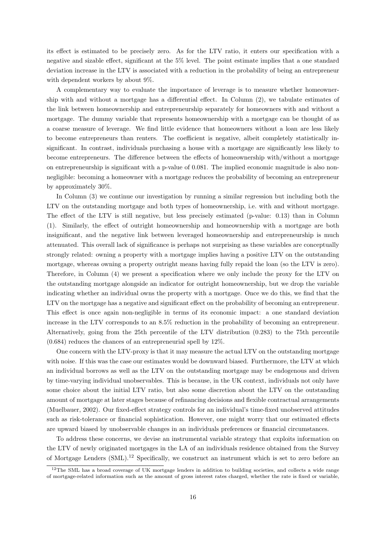its effect is estimated to be precisely zero. As for the LTV ratio, it enters our specification with a negative and sizable effect, significant at the 5% level. The point estimate implies that a one standard deviation increase in the LTV is associated with a reduction in the probability of being an entrepreneur with dependent workers by about 9%.

A complementary way to evaluate the importance of leverage is to measure whether homeownership with and without a mortgage has a differential effect. In Column (2), we tabulate estimates of the link between homeownership and entrepreneurship separately for homeowners with and without a mortgage. The dummy variable that represents homeownership with a mortgage can be thought of as a coarse measure of leverage. We find little evidence that homeowners without a loan are less likely to become entrepreneurs than renters. The coefficient is negative, albeit completely statistically insignificant. In contrast, individuals purchasing a house with a mortgage are significantly less likely to become entrepreneurs. The difference between the effects of homeownership with/without a mortgage on entrepreneurship is significant with a p-value of 0.081. The implied economic magnitude is also nonnegligible: becoming a homeowner with a mortgage reduces the probability of becoming an entrepreneur by approximately 30%.

In Column (3) we continue our investigation by running a similar regression but including both the LTV on the outstanding mortgage and both types of homeownership, i.e. with and without mortgage. The effect of the LTV is still negative, but less precisely estimated (p-value: 0.13) than in Column (1). Similarly, the effect of outright homeownership and homeownership with a mortgage are both insignificant, and the negative link between leveraged homeownership and entrepreneurship is much attenuated. This overall lack of significance is perhaps not surprising as these variables are conceptually strongly related: owning a property with a mortgage implies having a positive LTV on the outstanding mortgage, whereas owning a property outright means having fully repaid the loan (so the LTV is zero). Therefore, in Column (4) we present a specification where we only include the proxy for the LTV on the outstanding mortgage alongside an indicator for outright homeownership, but we drop the variable indicating whether an individual owns the property with a mortgage. Once we do this, we find that the LTV on the mortgage has a negative and significant effect on the probability of becoming an entrepreneur. This effect is once again non-negligible in terms of its economic impact: a one standard deviation increase in the LTV corresponds to an 8.5% reduction in the probability of becoming an entrepreneur. Alternatively, going from the 25th percentile of the LTV distribution (0.283) to the 75th percentile (0.684) reduces the chances of an entrepreneurial spell by 12%.

One concern with the LTV-proxy is that it may measure the actual LTV on the outstanding mortgage with noise. If this was the case our estimates would be downward biased. Furthermore, the LTV at which an individual borrows as well as the LTV on the outstanding mortgage may be endogenous and driven by time-varying individual unobservables. This is because, in the UK context, individuals not only have some choice about the initial LTV ratio, but also some discretion about the LTV on the outstanding amount of mortgage at later stages because of refinancing decisions and flexible contractual arrangements [\(Muelbauer, 2002\)](#page-24-17). Our fixed-effect strategy controls for an individual's time-fixed unobserved attitudes such as risk-tolerance or financial sophistication. However, one might worry that our estimated effects are upward biased by unobservable changes in an individuals preferences or financial circumstances.

To address these concerns, we devise an instrumental variable strategy that exploits information on the LTV of newly originated mortgages in the LA of an individuals residence obtained from the Survey of Mortgage Lenders  $(SML).<sup>12</sup>$  $(SML).<sup>12</sup>$  $(SML).<sup>12</sup>$  Specifically, we construct an instrument which is set to zero before an

<span id="page-15-0"></span><sup>&</sup>lt;sup>12</sup>The SML has a broad coverage of UK mortgage lenders in addition to building societies, and collects a wide range of mortgage-related information such as the amount of gross interest rates charged, whether the rate is fixed or variable,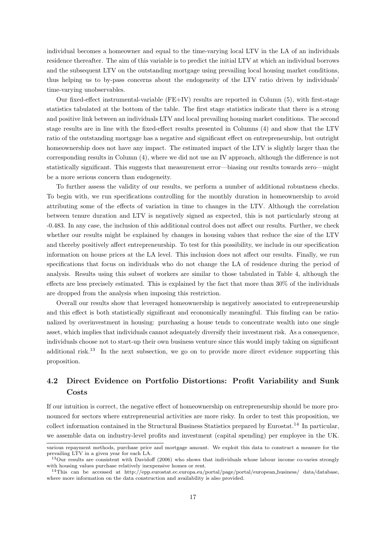individual becomes a homeowner and equal to the time-varying local LTV in the LA of an individuals residence thereafter. The aim of this variable is to predict the initial LTV at which an individual borrows and the subsequent LTV on the outstanding mortgage using prevailing local housing market conditions, thus helping us to by-pass concerns about the endogeneity of the LTV ratio driven by individuals' time-varying unobservables.

Our fixed-effect instrumental-variable (FE+IV) results are reported in Column (5), with first-stage statistics tabulated at the bottom of the table. The first stage statistics indicate that there is a strong and positive link between an individuals LTV and local prevailing housing market conditions. The second stage results are in line with the fixed-effect results presented in Columns (4) and show that the LTV ratio of the outstanding mortgage has a negative and significant effect on entrepreneurship, but outright homeownership does not have any impact. The estimated impact of the LTV is slightly larger than the corresponding results in Column (4), where we did not use an IV approach, although the difference is not statistically significant. This suggests that measurement error—biasing our results towards zero—might be a more serious concern than endogeneity.

To further assess the validity of our results, we perform a number of additional robustness checks. To begin with, we run specifications controlling for the monthly duration in homeownership to avoid attributing some of the effects of variation in time to changes in the LTV. Although the correlation between tenure duration and LTV is negatively signed as expected, this is not particularly strong at -0.483. In any case, the inclusion of this additional control does not affect our results. Further, we check whether our results might be explained by changes in housing values that reduce the size of the LTV and thereby positively affect entrepreneurship. To test for this possibility, we include in our specification information on house prices at the LA level. This inclusion does not affect our results. Finally, we run specifications that focus on individuals who do not change the LA of residence during the period of analysis. Results using this subset of workers are similar to those tabulated in Table [4,](#page-14-2) although the effects are less precisely estimated. This is explained by the fact that more than 30% of the individuals are dropped from the analysis when imposing this restriction.

Overall our results show that leveraged homeownership is negatively associated to entrepreneurship and this effect is both statistically significant and economically meaningful. This finding can be rationalized by overinvestment in housing: purchasing a house tends to concentrate wealth into one single asset, which implies that individuals cannot adequately diversify their investment risk. As a consequence, individuals choose not to start-up their own business venture since this would imply taking on significant additional risk.<sup>[13](#page-16-0)</sup> In the next subsection, we go on to provide more direct evidence supporting this proposition.

# 4.2 Direct Evidence on Portfolio Distortions: Profit Variability and Sunk Costs

If our intuition is correct, the negative effect of homeownership on entrepreneurship should be more pronounced for sectors where entrepreneurial activities are more risky. In order to test this proposition, we collect information contained in the Structural Business Statistics prepared by Eurostat.<sup>[14](#page-16-1)</sup> In particular, we assemble data on industry-level profits and investment (capital spending) per employee in the UK.

various repayment methods, purchase price and mortgage amount. We exploit this data to construct a measure for the prevailing LTV in a given year for each LA.

<span id="page-16-0"></span><sup>&</sup>lt;sup>13</sup>Our results are consistent with Davidoff (2006) who shows that individuals whose labour income co-varies strongly with housing values purchase relatively inexpensive homes or rent.

<span id="page-16-1"></span><sup>14</sup>This can be accessed at http://epp.eurostat.ec.europa.eu/portal/page/portal/european business/ data/database, where more information on the data construction and availability is also provided.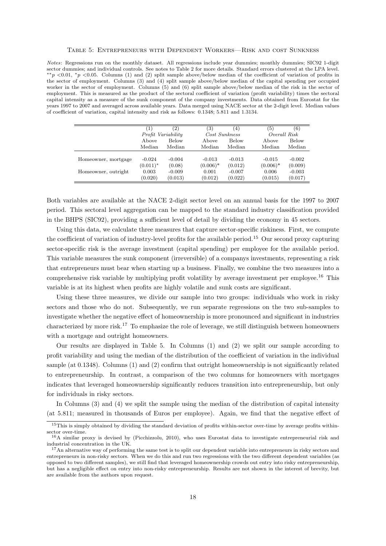#### Table 5: Entrepreneurs with Dependent Workers—Risk and cost Sunkness

<span id="page-17-3"></span>Notes: Regressions run on the monthly dataset. All regressions include year dummies; monthly dummies; SIC92 1-digit sector dummies; and individual controls. See notes to Table 2 for more details. Standard errors clustered at the LPA level.  $*p$  <0.01,  $*p$  <0.05. Columns (1) and (2) split sample above/below median of the coefficient of variation of profits in the sector of employment. Columns (3) and (4) split sample above/below median of the capital spending per occupied worker in the sector of employment. Columns (5) and (6) split sample above/below median of the risk in the sector of employment. This is measured as the product of the sectoral coefficient of variation (profit variability) times the sectoral capital intensity as a measure of the sunk component of the company investments. Data obtained from Eurostat for the years 1997 to 2007 and averaged across available years. Data merged using NACE sector at the 2-digit level. Median values of coefficient of variation, capital intensity and risk as follows: 0.1348; 5.811 and 1.3134.

|                     |                    | $^{^{\prime }2)}$ | $\left( 3\right)$ | 4)           | (5)          | (6)      |
|---------------------|--------------------|-------------------|-------------------|--------------|--------------|----------|
|                     | Profit Variability |                   | Cost Sunkness     |              | Overall Risk |          |
|                     | Above              | <b>Below</b>      | Above             | <b>Below</b> | Above        | Below    |
|                     | Median             | Median            | Median            | Median       | Median       | Median   |
|                     |                    |                   |                   |              |              |          |
| Homeowner, mortgage | $-0.024$           | $-0.004$          | $-0.013$          | $-0.013$     | $-0.015$     | $-0.002$ |
|                     | $(0.011)^*$        | (0.08)            | $(0.006)^*$       | (0.012)      | $(0.006)^*$  | (0.009)  |
| Homeowner, outright | 0.003              | $-0.009$          | 0.001             | $-0.007$     | 0.006        | $-0.003$ |
|                     | (0.020)            | (0.013)           | (0.012)           | (0.022)      | (0.015)      | (0.017)  |

Both variables are available at the NACE 2-digit sector level on an annual basis for the 1997 to 2007 period. This sectoral level aggregation can be mapped to the standard industry classification provided in the BHPS (SIC92), providing a sufficient level of detail by dividing the economy in 45 sectors.

Using this data, we calculate three measures that capture sector-specific riskiness. First, we compute the coefficient of variation of industry-level profits for the available period.[15](#page-17-0) Our second proxy capturing sector-specific risk is the average investment (capital spending) per employee for the available period. This variable measures the sunk component (irreversible) of a companys investments, representing a risk that entrepreneurs must bear when starting up a business. Finally, we combine the two measures into a comprehensive risk variable by multiplying profit volatility by average investment per employee.[16](#page-17-1) This variable is at its highest when profits are highly volatile and sunk costs are significant.

Using these three measures, we divide our sample into two groups: individuals who work in risky sectors and those who do not. Subsequently, we run separate regressions on the two sub-samples to investigate whether the negative effect of homeownership is more pronounced and significant in industries characterized by more risk.[17](#page-17-2) To emphasize the role of leverage, we still distinguish between homeowners with a mortgage and outright homeowners.

Our results are displayed in Table [5.](#page-17-3) In Columns (1) and (2) we split our sample according to profit variability and using the median of the distribution of the coefficient of variation in the individual sample (at 0.1348). Columns (1) and (2) confirm that outright homeownership is not significantly related to entrepreneurship. In contrast, a comparison of the two columns for homeowners with mortgages indicates that leveraged homeownership significantly reduces transition into entrepreneurship, but only for individuals in risky sectors.

In Columns (3) and (4) we split the sample using the median of the distribution of capital intensity (at 5.811; measured in thousands of Euros per employee). Again, we find that the negative effect of

<span id="page-17-0"></span><sup>&</sup>lt;sup>15</sup>This is simply obtained by dividing the standard deviation of profits within-sector over-time by average profits withinsector over-time.

<span id="page-17-1"></span><sup>16</sup>A similar proxy is devised by [\(Picchizzolu, 2010\)](#page-24-18), who uses Eurostat data to investigate entrepreneurial risk and industrial concentration in the UK.

<span id="page-17-2"></span> $17$ An alternative way of performing the same test is to split our dependent variable into entrepreneurs in risky sectors and entrepreneurs in non-risky sectors. When we do this and run two regressions with the two different dependent variables (as opposed to two different samples), we still find that leveraged homeownership crowds out entry into risky entrepreneurship, but has a negligible effect on entry into non-risky entrepreneurship. Results are not shown in the interest of brevity, but are available from the authors upon request.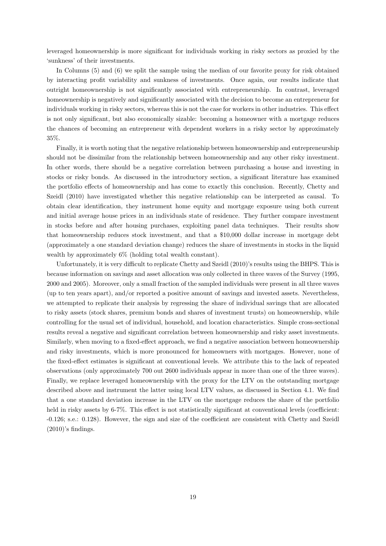leveraged homeownership is more significant for individuals working in risky sectors as proxied by the 'sunkness' of their investments.

In Columns (5) and (6) we split the sample using the median of our favorite proxy for risk obtained by interacting profit variability and sunkness of investments. Once again, our results indicate that outright homeownership is not significantly associated with entrepreneurship. In contrast, leveraged homeownership is negatively and significantly associated with the decision to become an entrepreneur for individuals working in risky sectors, whereas this is not the case for workers in other industries. This effect is not only significant, but also economically sizable: becoming a homeowner with a mortgage reduces the chances of becoming an entrepreneur with dependent workers in a risky sector by approximately 35%.

Finally, it is worth noting that the negative relationship between homeownership and entrepreneurship should not be dissimilar from the relationship between homeownership and any other risky investment. In other words, there should be a negative correlation between purchasing a house and investing in stocks or risky bonds. As discussed in the introductory section, a significant literature has examined the portfolio effects of homeownership and has come to exactly this conclusion. Recently, [Chetty and](#page-22-7) [Szeidl](#page-22-7) [\(2010\)](#page-22-7) have investigated whether this negative relationship can be interpreted as causal. To obtain clear identification, they instrument home equity and mortgage exposure using both current and initial average house prices in an individuals state of residence. They further compare investment in stocks before and after housing purchases, exploiting panel data techniques. Their results show that homeownership reduces stock investment, and that a \$10,000 dollar increase in mortgage debt (approximately a one standard deviation change) reduces the share of investments in stocks in the liquid wealth by approximately 6% (holding total wealth constant).

Unfortunately, it is very difficult to replicate [Chetty and Szeidl](#page-22-7) [\(2010\)](#page-22-7)'s results using the BHPS. This is because information on savings and asset allocation was only collected in three waves of the Survey (1995, 2000 and 2005). Moreover, only a small fraction of the sampled individuals were present in all three waves (up to ten years apart), and/or reported a positive amount of savings and invested assets. Nevertheless, we attempted to replicate their analysis by regressing the share of individual savings that are allocated to risky assets (stock shares, premium bonds and shares of investment trusts) on homeownership, while controlling for the usual set of individual, household, and location characteristics. Simple cross-sectional results reveal a negative and significant correlation between homeownership and risky asset investments. Similarly, when moving to a fixed-effect approach, we find a negative association between homeownership and risky investments, which is more pronounced for homeowners with mortgages. However, none of the fixed-effect estimates is significant at conventional levels. We attribute this to the lack of repeated observations (only approximately 700 out 2600 individuals appear in more than one of the three waves). Finally, we replace leveraged homeownership with the proxy for the LTV on the outstanding mortgage described above and instrument the latter using local LTV values, as discussed in Section [4.1.](#page-14-3) We find that a one standard deviation increase in the LTV on the mortgage reduces the share of the portfolio held in risky assets by 6-7%. This effect is not statistically significant at conventional levels (coefficient: -0.126; s.e.: 0.128). However, the sign and size of the coefficient are consistent with [Chetty and Szeidl](#page-22-7)  $(2010)$ 's findings.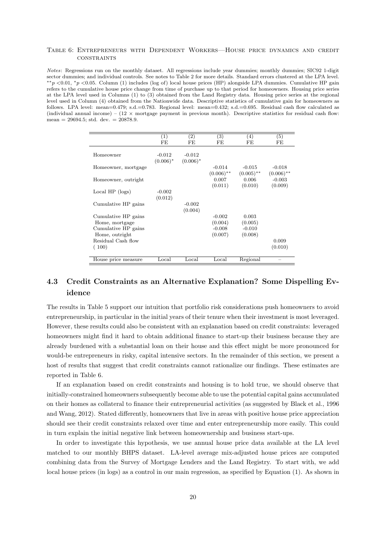#### <span id="page-19-0"></span>Table 6: Entrepreneurs with Dependent Workers—House price dynamics and credit **CONSTRAINTS**

Notes: Regressions run on the monthly dataset. All regressions include year dummies; monthly dummies; SIC92 1-digit sector dummies; and individual controls. See notes to Table [2](#page-8-0) for more details. Standard errors clustered at the LPA level. ∗∗p <0.01, <sup>∗</sup>p <0.05. Column (1) includes (log of) local house prices (HP) alongside LPA dummies. Cumulative HP gain refers to the cumulative house price change from time of purchase up to that period for homeowners. Housing price series at the LPA level used in Columns (1) to (3) obtained from the Land Registry data. Housing price series at the regional level used in Column (4) obtained from the Nationwide data. Descriptive statistics of cumulative gain for homeowners as follows. LPA level: mean=0.479; s.d.=0.783. Regional level: mean=0.432; s.d.=0.695. Residual cash flow calculated as (individual annual income) – (12  $\times$  mortgage payment in previous month). Descriptive statistics for residual cash flow: mean =  $29694.5$ ; std. dev. =  $20878.9$ .

|                     | $\left(1\right)$ | $\left( 2\right)$ | $\left( 3\right)$ | (4)          | (5)          |
|---------------------|------------------|-------------------|-------------------|--------------|--------------|
|                     | FE               | FE                | FE                | FE           | FE           |
|                     |                  |                   |                   |              |              |
| Homeowner           | $-0.012$         | $-0.012$          |                   |              |              |
|                     | $(0.006)^*$      | $(0.006)^*$       |                   |              |              |
| Homeowner, mortgage |                  |                   | $-0.014$          | $-0.015$     | $-0.018$     |
|                     |                  |                   | $(0.006)$ **      | $(0.005)$ ** | $(0.006)$ ** |
| Homeowner, outright |                  |                   | 0.007             | 0.006        | $-0.003$     |
|                     |                  |                   | (0.011)           | (0.010)      | (0.009)      |
| Local $HP$ (logs)   | $-0.002$         |                   |                   |              |              |
|                     | (0.012)          |                   |                   |              |              |
| Cumulative HP gains |                  | $-0.002$          |                   |              |              |
|                     |                  | (0.004)           |                   |              |              |
| Cumulative HP gains |                  |                   | $-0.002$          | 0.003        |              |
| Home, mortgage      |                  |                   | (0.004)           | (0.005)      |              |
|                     |                  |                   |                   |              |              |
| Cumulative HP gains |                  |                   | $-0.008$          | $-0.010$     |              |
| Home, outright      |                  |                   | (0.007)           | (0.008)      |              |
| Residual Cash flow  |                  |                   |                   |              | 0.009        |
| (100)               |                  |                   |                   |              | (0.010)      |
|                     |                  |                   |                   |              |              |
| House price measure | Local            | Local             | Local             | Regional     |              |

# 4.3 Credit Constraints as an Alternative Explanation? Some Dispelling Evidence

The results in Table [5](#page-17-3) support our intuition that portfolio risk considerations push homeowners to avoid entrepreneurship, in particular in the initial years of their tenure when their investment is most leveraged. However, these results could also be consistent with an explanation based on credit constraints: leveraged homeowners might find it hard to obtain additional finance to start-up their business because they are already burdened with a substantial loan on their house and this effect might be more pronounced for would-be entrepreneurs in risky, capital intensive sectors. In the remainder of this section, we present a host of results that suggest that credit constraints cannot rationalize our findings. These estimates are reported in Table [6.](#page-19-0)

If an explanation based on credit constraints and housing is to hold true, we should observe that initially-constrained homeowners subsequently become able to use the potential capital gains accumulated on their homes as collateral to finance their entrepreneurial activities (as suggested by [Black et al., 1996](#page-22-10) and [Wang, 2012\)](#page-24-9). Stated differently, homeowners that live in areas with positive house price appreciation should see their credit constraints relaxed over time and enter entrepreneurship more easily. This could in turn explain the initial negative link between homeownership and business start-ups.

In order to investigate this hypothesis, we use annual house price data available at the LA level matched to our monthly BHPS dataset. LA-level average mix-adjusted house prices are computed combining data from the Survey of Mortgage Lenders and the Land Registry. To start with, we add local house prices (in logs) as a control in our main regression, as specified by Equation (1). As shown in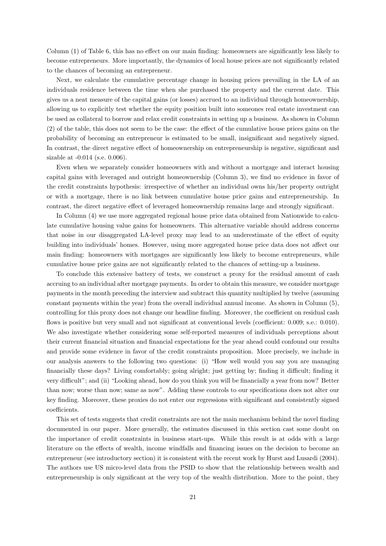Column (1) of Table [6,](#page-19-0) this has no effect on our main finding: homeowners are significantly less likely to become entrepreneurs. More importantly, the dynamics of local house prices are not significantly related to the chances of becoming an entrepreneur.

Next, we calculate the cumulative percentage change in housing prices prevailing in the LA of an individuals residence between the time when she purchased the property and the current date. This gives us a neat measure of the capital gains (or losses) accrued to an individual through homeownership, allowing us to explicitly test whether the equity position built into someones real estate investment can be used as collateral to borrow and relax credit constraints in setting up a business. As shown in Column (2) of the table, this does not seem to be the case: the effect of the cumulative house prices gains on the probability of becoming an entrepreneur is estimated to be small, insignificant and negatively signed. In contrast, the direct negative effect of homeownership on entrepreneurship is negative, significant and sizable at -0.014 (s.e. 0.006).

Even when we separately consider homeowners with and without a mortgage and interact housing capital gains with leveraged and outright homeownership (Column 3), we find no evidence in favor of the credit constraints hypothesis: irrespective of whether an individual owns his/her property outright or with a mortgage, there is no link between cumulative house price gains and entrepreneurship. In contrast, the direct negative effect of leveraged homeownership remains large and strongly significant.

In Column (4) we use more aggregated regional house price data obtained from Nationwide to calculate cumulative housing value gains for homeowners. This alternative variable should address concerns that noise in our disaggregated LA-level proxy may lead to an underestimate of the effect of equity building into individuals' homes. However, using more aggregated house price data does not affect our main finding: homeowners with mortgages are significantly less likely to become entrepreneurs, while cumulative house price gains are not significantly related to the chances of setting-up a business.

To conclude this extensive battery of tests, we construct a proxy for the residual amount of cash accruing to an individual after mortgage payments. In order to obtain this measure, we consider mortgage payments in the month preceding the interview and subtract this quantity multiplied by twelve (assuming constant payments within the year) from the overall individual annual income. As shown in Column (5), controlling for this proxy does not change our headline finding. Moreover, the coefficient on residual cash flows is positive but very small and not significant at conventional levels (coefficient: 0.009; s.e.: 0.010). We also investigate whether considering some self-reported measures of individuals perceptions about their current financial situation and financial expectations for the year ahead could confound our results and provide some evidence in favor of the credit constraints proposition. More precisely, we include in our analysis answers to the following two questions: (i) "How well would you say you are managing financially these days? Living comfortably; going alright; just getting by; finding it difficult; finding it very difficult"; and (ii) "Looking ahead, how do you think you will be financially a year from now? Better than now; worse than now; same as now". Adding these controls to our specifications does not alter our key finding. Moreover, these proxies do not enter our regressions with significant and consistently signed coefficients.

This set of tests suggests that credit constraints are not the main mechanism behind the novel finding documented in our paper. More generally, the estimates discussed in this section cast some doubt on the importance of credit constraints in business start-ups. While this result is at odds with a large literature on the effects of wealth, income windfalls and financing issues on the decision to become an entrepreneur (see introductory section) it is consistent with the recent work by [Hurst and Lusardi](#page-24-1) [\(2004\)](#page-24-1). The authors use US micro-level data from the PSID to show that the relationship between wealth and entrepreneurship is only significant at the very top of the wealth distribution. More to the point, they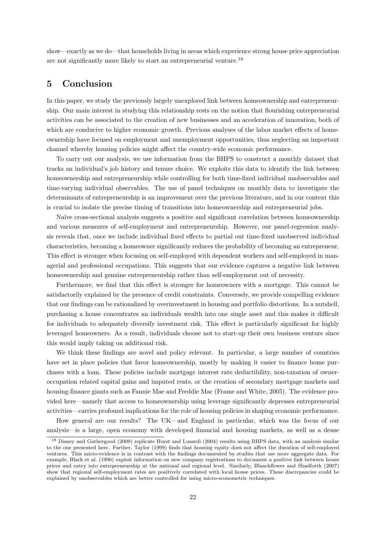show—exactly as we do—that households living in areas which experience strong house price appreciation are not significantly more likely to start an entrepreneurial venture.<sup>[18](#page-21-1)</sup>

## <span id="page-21-0"></span>5 Conclusion

In this paper, we study the previously largely unexplored link between homeownership and entrepreneurship. Our main interest in studying this relationship rests on the notion that flourishing entrepreneurial activities can be associated to the creation of new businesses and an acceleration of innovation, both of which are conducive to higher economic growth. Previous analyses of the labor market effects of homeownership have focused on employment and unemployment opportunities, thus neglecting an important channel whereby housing policies might affect the country-wide economic performance.

To carry out our analysis, we use information from the BHPS to construct a monthly dataset that tracks an individual's job history and tenure choice. We exploits this data to identify the link between homeownership and entrepreneurship while controlling for both time-fixed individual unobservables and time-varying individual observables. The use of panel techniques on monthly data to investigate the determinants of entrepreneurship is an improvement over the previous literature, and in our context this is crucial to isolate the precise timing of transitions into homeownership and entrepreneurial jobs.

Naïve cross-sectional analysis suggests a positive and significant correlation between homeownership and various measures of self-employment and entrepreneurship. However, our panel-regression analysis reveals that, once we include individual fixed effects to partial out time-fixed unobserved individual characteristics, becoming a homeowner significantly reduces the probability of becoming an entrepreneur. This effect is stronger when focusing on self-employed with dependent workers and self-employed in managerial and professional occupations. This suggests that our evidence captures a negative link between homeownership and genuine entrepreneurship rather than self-employment out of necessity.

Furthermore, we find that this effect is stronger for homeowners with a mortgage. This cannot be satisfactorily explained by the presence of credit constraints. Conversely, we provide compelling evidence that our findings can be rationalized by overinvestment in housing and portfolio distortions. In a nutshell, purchasing a house concentrates an individuals wealth into one single asset and this makes it difficult for individuals to adequately diversify investment risk. This effect is particularly significant for highly leveraged homeowners. As a result, individuals choose not to start-up their own business venture since this would imply taking on additional risk.

We think these findings are novel and policy relevant. In particular, a large number of countries have set in place policies that favor homeownership, mostly by making it easier to finance home purchases with a loan. These policies include mortgage interest rate deductibility, non-taxation of owneroccupation related capital gains and imputed rents, or the creation of secondary mortgage markets and housing-finance giants such as Fannie Mae and Freddie Mac [\(Frame and White, 2005\)](#page-23-17). The evidence provided here—namely that access to homeownership using leverage significantly depresses entrepreneurial activities—carries profound implications for the role of housing policies in shaping economic performance.

How general are our results? The UK—and England in particular, which was the focus of our analysis—is a large, open economy with developed financial and housing markets, as well as a dense

<span id="page-21-1"></span><sup>&</sup>lt;sup>18</sup> [Disney and Gathergood](#page-22-13) [\(2009\)](#page-22-13) replicate [Hurst and Lusardi](#page-24-1) [\(2004\)](#page-24-1) results using BHPS data, with an analysis similar to the one presented here. Further, [Taylor](#page-24-19) [\(1999\)](#page-24-19) finds that housing equity does not affect the duration of self-employed ventures. This micro-evidence is in contrast with the findings documented by studies that use more aggregate data. For example, [Black et al.](#page-22-10) [\(1996\)](#page-22-10) exploit information on new company registrations to document a positive link between house prices and entry into entrepreneurship at the national and regional level. Similarly, [Blanchflower and Shadforth](#page-22-14) [\(2007\)](#page-22-14) show that regional self-employment rates are positively correlated with local house prices. These discrepancies could be explained by unobservables which are better controlled for using micro-econometric techniques.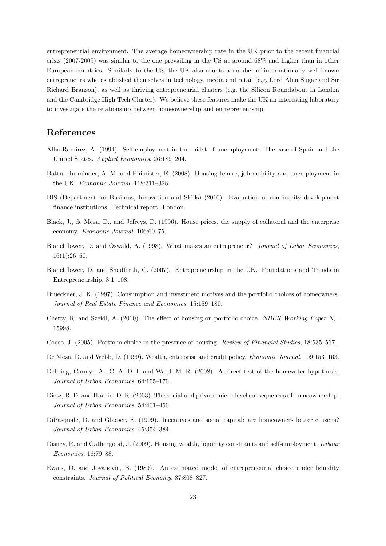entrepreneurial environment. The average homeownership rate in the UK prior to the recent financial crisis (2007-2009) was similar to the one prevailing in the US at around 68% and higher than in other European countries. Similarly to the US, the UK also counts a number of internationally well-known entrepreneurs who established themselves in technology, media and retail (e.g. Lord Alan Sugar and Sir Richard Branson), as well as thriving entrepreneurial clusters (e.g. the Silicon Roundabout in London and the Cambridge High Tech Cluster). We believe these features make the UK an interesting laboratory to investigate the relationship between homeownership and entrepreneurship.

## References

- <span id="page-22-0"></span>Alba-Ramirez, A. (1994). Self-employment in the midst of unemployment: The case of Spain and the United States. Applied Economics, 26:189–204.
- <span id="page-22-5"></span>Battu, Harminder, A. M. and Phimister, E. (2008). Housing tenure, job mobility and unemployment in the UK. Economic Journal, 118:311–328.
- <span id="page-22-12"></span>BIS (Department for Business, Innovation and Skills) (2010). Evaluation of community development finance institutions. Technical report. London.
- <span id="page-22-10"></span>Black, J., de Meza, D., and Jefreys, D. (1996). House prices, the supply of collateral and the enterprise economy. Economic Journal, 106:60–75.
- <span id="page-22-9"></span>Blanchflower, D. and Oswald, A. (1998). What makes an entrepreneur? Journal of Labor Economics,  $16(1):26-60.$
- <span id="page-22-14"></span>Blanchflower, D. and Shadforth, C. (2007). Entrepreneurship in the UK. Foundations and Trends in Entrepreneurship, 3:1–108.
- <span id="page-22-1"></span>Brueckner, J. K. (1997). Consumption and investment motives and the portfolio choices of homeowners. Journal of Real Estate Finance and Economics, 15:159–180.
- <span id="page-22-7"></span>Chetty, R. and Szeidl, A. (2010). The effect of housing on portfolio choice. NBER Working Paper N, . 15998.
- <span id="page-22-6"></span>Cocco, J. (2005). Portfolio choice in the presence of housing. Review of Financial Studies, 18:535–567.
- <span id="page-22-11"></span>De Meza, D. and Webb, D. (1999). Wealth, enterprise and credit policy. Economic Journal, 109:153–163.
- <span id="page-22-3"></span>Dehring, Carolyn A., C. A. D. I. and Ward, M. R. (2008). A direct test of the homevoter hypothesis. Journal of Urban Economics, 64:155–170.
- <span id="page-22-4"></span>Dietz, R. D. and Haurin, D. R. (2003). The social and private micro-level consequences of homeownership. Journal of Urban Economics, 54:401–450.
- <span id="page-22-2"></span>DiPasquale, D. and Glaeser, E. (1999). Incentives and social capital: are homeowners better citizens? Journal of Urban Economics, 45:354–384.
- <span id="page-22-13"></span>Disney, R. and Gathergood, J. (2009). Housing wealth, liquidity constraints and self-employment. Labour Economics, 16:79–88.
- <span id="page-22-8"></span>Evans, D. and Jovanovic, B. (1989). An estimated model of entrepreneurial choice under liquidity constraints. Journal of Political Economy, 87:808–827.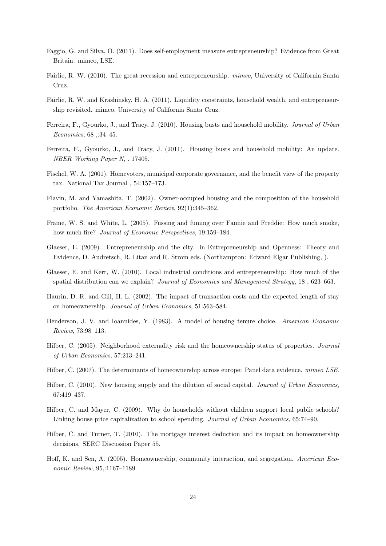- <span id="page-23-16"></span>Faggio, G. and Silva, O. (2011). Does self-employment measure entrepreneurship? Evidence from Great Britain. mimeo, LSE.
- <span id="page-23-11"></span>Fairlie, R. W. (2010). The great recession and entrepreneurship. mimeo, University of California Santa Cruz.
- <span id="page-23-10"></span>Fairlie, R. W. and Krashinsky, H. A. (2011). Liquidity constraints, household wealth, and entrepreneurship revisited. mimeo, University of California Santa Cruz.
- <span id="page-23-7"></span>Ferreira, F., Gyourko, J., and Tracy, J. (2010). Housing busts and household mobility. Journal of Urban Economics, 68 ,:34–45.
- <span id="page-23-8"></span>Ferreira, F., Gyourko, J., and Tracy, J. (2011). Housing busts and household mobility: An update. NBER Working Paper N, . 17405.
- <span id="page-23-4"></span>Fischel, W. A. (2001). Homevoters, municipal corporate governance, and the benefit view of the property tax. National Tax Journal , 54:157–173.
- <span id="page-23-0"></span>Flavin, M. and Yamashita, T. (2002). Owner-occupied housing and the composition of the household portfolio. The American Economic Review, 92(1):345–362.
- <span id="page-23-17"></span>Frame, W. S. and White, L. (2005). Fussing and fuming over Fannie and Freddie: How much smoke, how much fire? Journal of Economic Perspectives, 19:159–184.
- <span id="page-23-15"></span>Glaeser, E. (2009). Entrepreneurship and the city. in Entrepreneurship and Openness: Theory and Evidence, D. Audretsch, R. Litan and R. Strom eds. (Northampton: Edward Elgar Publishing, ).
- <span id="page-23-14"></span>Glaeser, E. and Kerr, W. (2010). Local industrial conditions and entrepreneurship: How much of the spatial distribution can we explain? Journal of Economics and Management Strategy, 18 , 623–663.
- <span id="page-23-6"></span>Haurin, D. R. and Gill, H. L. (2002). The impact of transaction costs and the expected length of stay on homeownership. Journal of Urban Economics, 51:563–584.
- <span id="page-23-9"></span>Henderson, J. V. and Ioannides, Y. (1983). A model of housing tenure choice. American Economic Review, 73:98–113.
- <span id="page-23-13"></span>Hilber, C. (2005). Neighborhood externality risk and the homeownership status of properties. *Journal* of Urban Economics, 57:213–241.
- <span id="page-23-12"></span>Hilber, C. (2007). The determinants of homeownership across europe: Panel data evidence. mimeo LSE.
- <span id="page-23-3"></span>Hilber, C. (2010). New housing supply and the dilution of social capital. Journal of Urban Economics, 67:419–437.
- <span id="page-23-5"></span>Hilber, C. and Mayer, C. (2009). Why do households without children support local public schools? Linking house price capitalization to school spending. Journal of Urban Economics, 65:74–90.
- <span id="page-23-1"></span>Hilber, C. and Turner, T. (2010). The mortgage interest deduction and its impact on homeownership decisions. SERC Discussion Paper 55.
- <span id="page-23-2"></span>Hoff, K. and Sen, A. (2005). Homeownership, community interaction, and segregation. American Economic Review, 95,:1167–1189.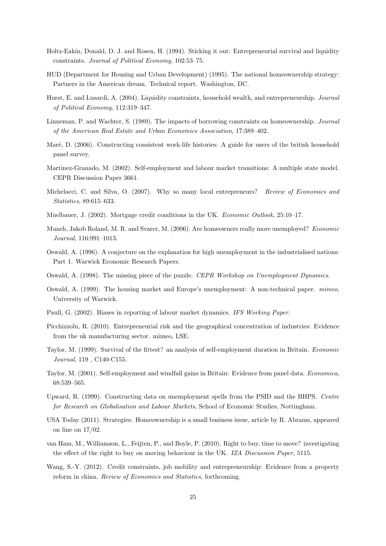- <span id="page-24-6"></span>Holtz-Eakin, Donald, D. J. and Rosen, H. (1994). Sticking it out: Entrepreneurial survival and liquidity constraints. Journal of Political Economy, 102:53–75.
- <span id="page-24-10"></span>HUD (Department for Housing and Urban Development) (1995). The national homeownership strategy: Partners in the American dream. Technical report. Washington, DC.
- <span id="page-24-1"></span>Hurst, E. and Lusardi, A. (2004). Liquidity constraints, household wealth, and entrepreneurship. Journal of Political Economy, 112:319–347.
- <span id="page-24-16"></span>Linneman, P. and Wachter, S. (1989). The impacts of borrowing constraints on homeownership. Journal of the American Real Estate and Urban Economics Association, 17:389–402.
- <span id="page-24-13"></span>Maré, D. (2006). Constructing consistent work-life histories: A guide for users of the british household panel survey.
- <span id="page-24-0"></span>Martinez-Granado, M. (2002). Self-employment and labour market transitions: A multiple state model. CEPR Discussion Paper 3661.
- <span id="page-24-8"></span>Michelacci, C. and Silva, O. (2007). Why so many local entrepreneurs? Review of Economics and Statistics, 89:615–633.
- <span id="page-24-17"></span>Muelbauer, J. (2002). Mortgage credit conditions in the UK. Economic Outlook, 25:10–17.
- <span id="page-24-5"></span>Munch, Jakob Roland, M. R. and Svarer, M. (2006). Are homeowners really more unemployed? Economic Journal, 116:991–1013.
- <span id="page-24-2"></span>Oswald, A. (1996). A conjecture on the explanation for high unemployment in the industrialised nations: Part 1. Warwick Economic Research Papers.
- <span id="page-24-3"></span>Oswald, A. (1998). The missing piece of the puzzle. CEPR Workshop on Unemployment Dynamics.
- <span id="page-24-4"></span>Oswald, A. (1999). The housing market and Europe's unemployment: A non-technical paper. mimeo, University of Warwick.
- <span id="page-24-12"></span>Paull, G. (2002). Biases in reporting of labour market dynamics. IFS Working Paper.
- <span id="page-24-18"></span>Picchizzolu, R. (2010). Entrepreneurial risk and the geographical concentration of industries: Evidence from the uk manufacturing sector. mimeo, LSE.
- <span id="page-24-19"></span>Taylor, M. (1999). Survival of the fittest? an analysis of self-employment duration in Britain. Economic Journal, 119 , C140-C155.
- <span id="page-24-7"></span>Taylor, M. (2001). Self-employment and windfall gains in Britain: Evidence from panel data. Economica, 68:539–565.
- <span id="page-24-14"></span>Upward, R. (1999). Constructing data on unemployment spells from the PSID and the BHPS. Centre for Research on Globalisation and Labour Markets, School of Economic Studies, Nottingham.
- <span id="page-24-11"></span>USA Today (2011). Strategies: Homeownership is a small business issue, article by R. Abrams, appeared on line on 17/02.
- <span id="page-24-15"></span>van Ham, M., Williamson, L., Feijten, P., and Boyle, P. (2010). Right to buy, time to move? investigating the effect of the right to buy on moving behaviour in the UK. IZA Discussion Paper, 5115.
- <span id="page-24-9"></span>Wang, S.-Y. (2012). Credit constraints, job mobility and entrepreneurship: Evidence from a property reform in china. Review of Economics and Statistics, forthcoming.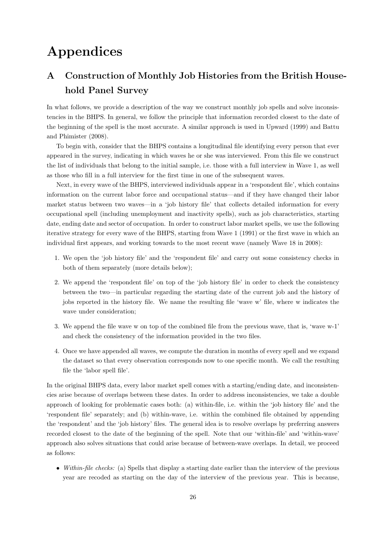# Appendices

# <span id="page-25-0"></span>A Construction of Monthly Job Histories from the British Household Panel Survey

In what follows, we provide a description of the way we construct monthly job spells and solve inconsistencies in the BHPS. In general, we follow the principle that information recorded closest to the date of the beginning of the spell is the most accurate. A similar approach is used in [Upward](#page-24-14) [\(1999\)](#page-24-14) and [Battu](#page-22-5) [and Phimister](#page-22-5) [\(2008\)](#page-22-5).

To begin with, consider that the BHPS contains a longitudinal file identifying every person that ever appeared in the survey, indicating in which waves he or she was interviewed. From this file we construct the list of individuals that belong to the initial sample, i.e. those with a full interview in Wave 1, as well as those who fill in a full interview for the first time in one of the subsequent waves.

Next, in every wave of the BHPS, interviewed individuals appear in a 'respondent file', which contains information on the current labor force and occupational status—and if they have changed their labor market status between two waves—in a 'job history file' that collects detailed information for every occupational spell (including unemployment and inactivity spells), such as job characteristics, starting date, ending date and sector of occupation. In order to construct labor market spells, we use the following iterative strategy for every wave of the BHPS, starting from Wave 1 (1991) or the first wave in which an individual first appears, and working towards to the most recent wave (namely Wave 18 in 2008):

- 1. We open the 'job history file' and the 'respondent file' and carry out some consistency checks in both of them separately (more details below);
- 2. We append the 'respondent file' on top of the 'job history file' in order to check the consistency between the two—in particular regarding the starting date of the current job and the history of jobs reported in the history file. We name the resulting file 'wave w' file, where w indicates the wave under consideration;
- 3. We append the file wave w on top of the combined file from the previous wave, that is, 'wave w-1' and check the consistency of the information provided in the two files.
- 4. Once we have appended all waves, we compute the duration in months of every spell and we expand the dataset so that every observation corresponds now to one specific month. We call the resulting file the 'labor spell file'.

In the original BHPS data, every labor market spell comes with a starting/ending date, and inconsistencies arise because of overlaps between these dates. In order to address inconsistencies, we take a double approach of looking for problematic cases both: (a) within-file, i.e. within the 'job history file' and the 'respondent file' separately; and (b) within-wave, i.e. within the combined file obtained by appending the 'respondent' and the 'job history' files. The general idea is to resolve overlaps by preferring answers recorded closest to the date of the beginning of the spell. Note that our 'within-file' and 'within-wave' approach also solves situations that could arise because of between-wave overlaps. In detail, we proceed as follows:

• Within-file checks: (a) Spells that display a starting date earlier than the interview of the previous year are recoded as starting on the day of the interview of the previous year. This is because,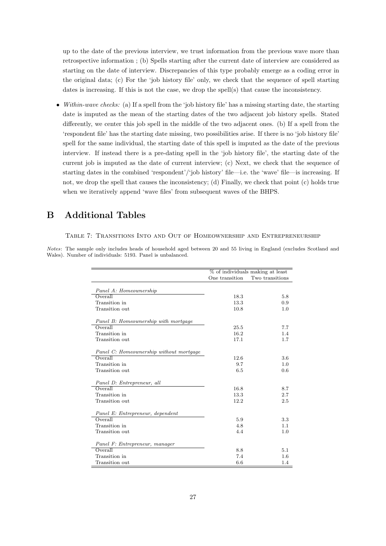up to the date of the previous interview, we trust information from the previous wave more than retrospective information ; (b) Spells starting after the current date of interview are considered as starting on the date of interview. Discrepancies of this type probably emerge as a coding error in the original data; (c) For the 'job history file' only, we check that the sequence of spell starting dates is increasing. If this is not the case, we drop the spell(s) that cause the inconsistency.

• Within-wave checks: (a) If a spell from the 'job history file' has a missing starting date, the starting date is imputed as the mean of the starting dates of the two adjacent job history spells. Stated differently, we center this job spell in the middle of the two adjacent ones. (b) If a spell from the 'respondent file' has the starting date missing, two possibilities arise. If there is no 'job history file' spell for the same individual, the starting date of this spell is imputed as the date of the previous interview. If instead there is a pre-dating spell in the 'job history file', the starting date of the current job is imputed as the date of current interview; (c) Next, we check that the sequence of starting dates in the combined 'respondent'/'job history' file—i.e. the 'wave' file—is increasing. If not, we drop the spell that causes the inconsistency; (d) Finally, we check that point (c) holds true when we iteratively append 'wave files' from subsequent waves of the BHPS.

## <span id="page-26-0"></span>B Additional Tables

#### Table 7: Transitions Into and Out of Homeownership and Entrepreneurship

Notes: The sample only includes heads of household aged between 20 and 55 living in England (excludes Scotland and Wales). Number of individuals: 5193. Panel is unbalanced.

|                                         | % of individuals making at least |                 |  |
|-----------------------------------------|----------------------------------|-----------------|--|
|                                         | One transition                   | Two transitions |  |
|                                         |                                  |                 |  |
| Panel A: Homeownership                  |                                  |                 |  |
| Overall                                 | 18.3                             | 5.8             |  |
| Transition in                           | 13.3                             | 0.9             |  |
| Transition out                          | 10.8                             | 1.0             |  |
| Panel B: Homeownership with mortgage    |                                  |                 |  |
| Overal                                  | 25.5                             | 7.7             |  |
| Transition in                           | 16.2                             | 1.4             |  |
| Transition out                          | 17.1                             | 1.7             |  |
|                                         |                                  |                 |  |
| Panel C: Homeownership without mortgage |                                  |                 |  |
| Overall                                 | 12.6                             | 3.6             |  |
| Transition in                           | 9.7                              | 1.0             |  |
| Transition out                          | 6.5                              | 0.6             |  |
| Panel D: Entrepreneur, all              |                                  |                 |  |
| Overal                                  | 16.8                             | 8.7             |  |
| Transition in                           | 13.3                             | 2.7             |  |
| Transition out                          | 12.2                             | 2.5             |  |
| Panel E: Entrepreneur, dependent        |                                  |                 |  |
| Overall                                 | 5.9                              | 3.3             |  |
| Transition in                           | 4.8                              | 1.1             |  |
| Transition out                          | 4.4                              | 1.0             |  |
|                                         |                                  |                 |  |
| Panel F: Entrepreneur, manager          |                                  |                 |  |
| Overall                                 | 8.8                              | 5.1             |  |
| Transition in                           | 7.4                              | 1.6             |  |
| Transition out                          | 6.6                              | 1.4             |  |